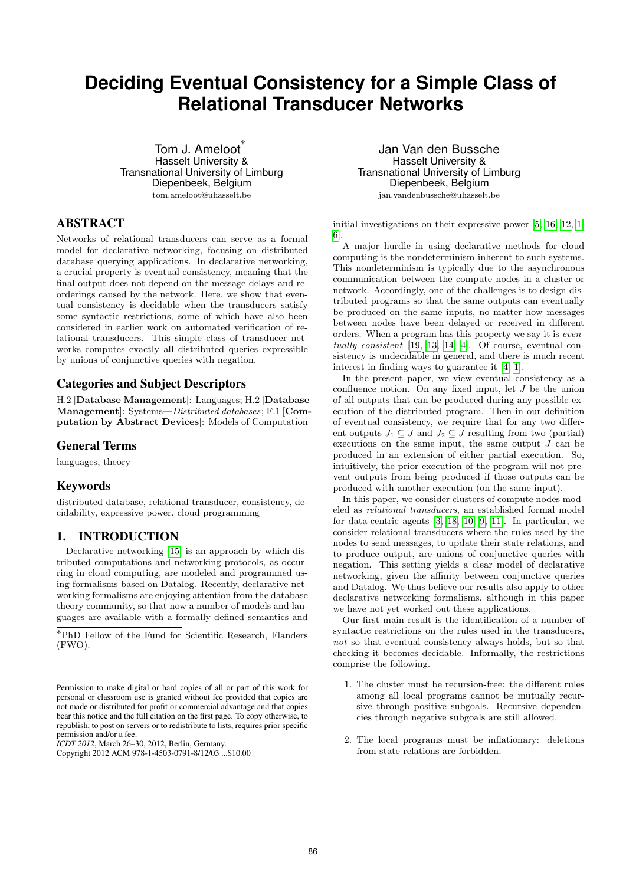# **Deciding Eventual Consistency for a Simple Class of Relational Transducer Networks**

Tom J. Ameloot<sup>\*</sup> Hasselt University & Transnational University of Limburg Diepenbeek, Belgium tom.ameloot@uhasselt.be

# ABSTRACT

Networks of relational transducers can serve as a formal model for declarative networking, focusing on distributed database querying applications. In declarative networking, a crucial property is eventual consistency, meaning that the final output does not depend on the message delays and reorderings caused by the network. Here, we show that eventual consistency is decidable when the transducers satisfy some syntactic restrictions, some of which have also been considered in earlier work on automated verification of relational transducers. This simple class of transducer networks computes exactly all distributed queries expressible by unions of conjunctive queries with negation.

## Categories and Subject Descriptors

H.2 [Database Management]: Languages; H.2 [Database Management]: Systems—Distributed databases; F.1 [Computation by Abstract Devices]: Models of Computation

## General Terms

languages, theory

# Keywords

distributed database, relational transducer, consistency, decidability, expressive power, cloud programming

# 1. INTRODUCTION

Declarative networking [15] is an approach by which distributed computations and networking protocols, as occurring in cloud computing, are modeled and programmed using formalisms based on Datalog. Recently, declarative networking formalisms are enjoying attention from the database theory community, so that now a number of models and languages are available with a formally defined semantics and

<sup>∗</sup>PhD Fellow of the Fund for Scientific Research, Flanders (FWO).

*ICDT 2012*, March 26–30, 2012, Berlin, Germany.

Jan Van den Bussche Hasselt University & Transnational University of Limburg Diepenbeek, Belgium jan.vandenbussche@uhasselt.be

initial investigations on their expressive power [5, 16, 12, 1, 6].

A major hurdle in using declarative methods for cloud computing is the nondeterminism inherent to such systems. This nondeterminism is typically due to the asynchronous communication between the compute nodes in a cluster or network. Accordingly, one of the challenges is to design distributed programs so that the same outputs can eventually be produced on the same inputs, no matter how messages between nodes have been delayed or received in different orders. When a program has this property we say it is eventually consistent [19, 13, 14, 4]. Of course, eventual consistency is undecidable in general, and there is much recent interest in finding ways to guarantee it [4, 1].

In the present paper, we view eventual consistency as a confluence notion. On any fixed input, let  $J$  be the union of all outputs that can be produced during any possible execution of the distributed program. Then in our definition of eventual consistency, we require that for any two different outputs  $J_1 \subseteq J$  and  $J_2 \subseteq J$  resulting from two (partial) executions on the same input, the same output  $J$  can be produced in an extension of either partial execution. So, intuitively, the prior execution of the program will not prevent outputs from being produced if those outputs can be produced with another execution (on the same input).

In this paper, we consider clusters of compute nodes modeled as relational transducers, an established formal model for data-centric agents [3, 18, 10, 9, 11]. In particular, we consider relational transducers where the rules used by the nodes to send messages, to update their state relations, and to produce output, are unions of conjunctive queries with negation. This setting yields a clear model of declarative networking, given the affinity between conjunctive queries and Datalog. We thus believe our results also apply to other declarative networking formalisms, although in this paper we have not yet worked out these applications.

Our first main result is the identification of a number of syntactic restrictions on the rules used in the transducers, not so that eventual consistency always holds, but so that checking it becomes decidable. Informally, the restrictions comprise the following.

- 1. The cluster must be recursion-free: the different rules among all local programs cannot be mutually recursive through positive subgoals. Recursive dependencies through negative subgoals are still allowed.
- 2. The local programs must be inflationary: deletions from state relations are forbidden.

Permission to make digital or hard copies of all or part of this work for personal or classroom use is granted without fee provided that copies are not made or distributed for profit or commercial advantage and that copies bear this notice and the full citation on the first page. To copy otherwise, to republish, to post on servers or to redistribute to lists, requires prior specific permission and/or a fee.

Copyright 2012 ACM 978-1-4503-0791-8/12/03 ...\$10.00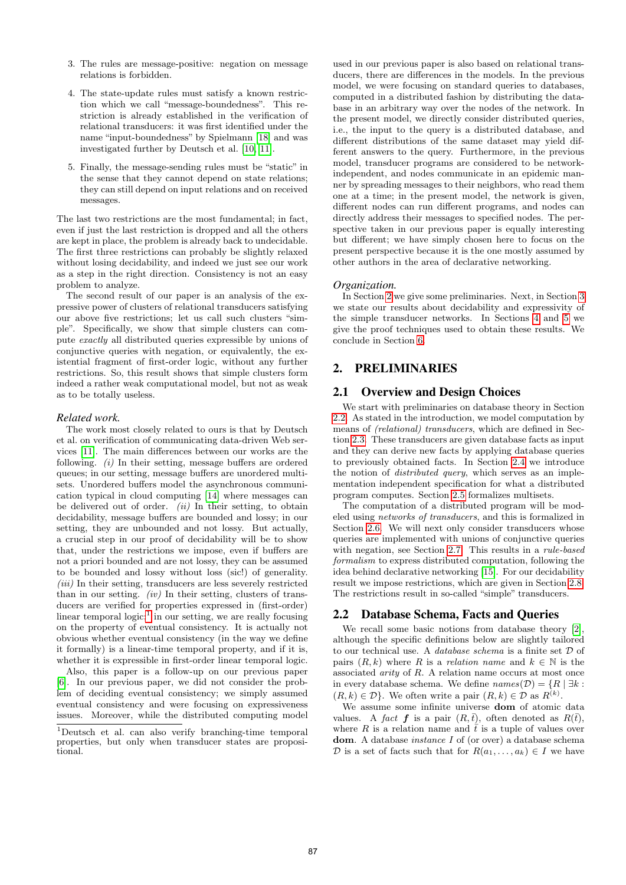- 3. The rules are message-positive: negation on message relations is forbidden.
- 4. The state-update rules must satisfy a known restriction which we call "message-boundedness". This restriction is already established in the verification of relational transducers: it was first identified under the name "input-boundedness" by Spielmann [18] and was investigated further by Deutsch et al. [10, 11].
- 5. Finally, the message-sending rules must be "static" in the sense that they cannot depend on state relations; they can still depend on input relations and on received messages.

The last two restrictions are the most fundamental; in fact, even if just the last restriction is dropped and all the others are kept in place, the problem is already back to undecidable. The first three restrictions can probably be slightly relaxed without losing decidability, and indeed we just see our work as a step in the right direction. Consistency is not an easy problem to analyze.

The second result of our paper is an analysis of the expressive power of clusters of relational transducers satisfying our above five restrictions; let us call such clusters "simple". Specifically, we show that simple clusters can compute exactly all distributed queries expressible by unions of conjunctive queries with negation, or equivalently, the existential fragment of first-order logic, without any further restrictions. So, this result shows that simple clusters form indeed a rather weak computational model, but not as weak as to be totally useless.

#### *Related work.*

The work most closely related to ours is that by Deutsch et al. on verification of communicating data-driven Web services [11]. The main differences between our works are the following. (i) In their setting, message buffers are ordered queues; in our setting, message buffers are unordered multisets. Unordered buffers model the asynchronous communication typical in cloud computing [14] where messages can be delivered out of order.  $(ii)$  In their setting, to obtain decidability, message buffers are bounded and lossy; in our setting, they are unbounded and not lossy. But actually, a crucial step in our proof of decidability will be to show that, under the restrictions we impose, even if buffers are not a priori bounded and are not lossy, they can be assumed to be bounded and lossy without loss (sic!) of generality.  $(iii)$  In their setting, transducers are less severely restricted than in our setting. *(iv)* In their setting, clusters of transducers are verified for properties expressed in (first-order) linear temporal  $logic$ <sup>1</sup>; in our setting, we are really focusing on the property of eventual consistency. It is actually not obvious whether eventual consistency (in the way we define it formally) is a linear-time temporal property, and if it is, whether it is expressible in first-order linear temporal logic.

Also, this paper is a follow-up on our previous paper [6]. In our previous paper, we did not consider the problem of deciding eventual consistency; we simply assumed eventual consistency and were focusing on expressiveness issues. Moreover, while the distributed computing model

used in our previous paper is also based on relational transducers, there are differences in the models. In the previous model, we were focusing on standard queries to databases, computed in a distributed fashion by distributing the database in an arbitrary way over the nodes of the network. In the present model, we directly consider distributed queries, i.e., the input to the query is a distributed database, and different distributions of the same dataset may yield different answers to the query. Furthermore, in the previous model, transducer programs are considered to be networkindependent, and nodes communicate in an epidemic manner by spreading messages to their neighbors, who read them one at a time; in the present model, the network is given, different nodes can run different programs, and nodes can directly address their messages to specified nodes. The perspective taken in our previous paper is equally interesting but different; we have simply chosen here to focus on the present perspective because it is the one mostly assumed by other authors in the area of declarative networking.

#### *Organization.*

In Section 2 we give some preliminaries. Next, in Section 3 we state our results about decidability and expressivity of the simple transducer networks. In Sections 4 and 5 we give the proof techniques used to obtain these results. We conclude in Section 6.

## 2. PRELIMINARIES

#### 2.1 Overview and Design Choices

We start with preliminaries on database theory in Section 2.2. As stated in the introduction, we model computation by means of (relational) transducers, which are defined in Section 2.3. These transducers are given database facts as input and they can derive new facts by applying database queries to previously obtained facts. In Section 2.4 we introduce the notion of distributed query, which serves as an implementation independent specification for what a distributed program computes. Section 2.5 formalizes multisets.

The computation of a distributed program will be modeled using networks of transducers, and this is formalized in Section 2.6. We will next only consider transducers whose queries are implemented with unions of conjunctive queries with negation, see Section 2.7. This results in a rule-based formalism to express distributed computation, following the idea behind declarative networking [15]. For our decidability result we impose restrictions, which are given in Section 2.8. The restrictions result in so-called "simple" transducers.

## 2.2 Database Schema, Facts and Queries

We recall some basic notions from database theory [2]. although the specific definitions below are slightly tailored to our technical use. A database schema is a finite set D of pairs  $(R, k)$  where R is a relation name and  $k \in \mathbb{N}$  is the associated *arity* of  $R$ . A relation name occurs at most once in every database schema. We define  $names(\mathcal{D}) = \{R \mid \exists k :$  $(R, k) \in \mathcal{D}$ . We often write a pair  $(R, k) \in \mathcal{D}$  as  $R^{(k)}$ .

We assume some infinite universe dom of atomic data values. A fact f is a pair  $(R,\bar{t})$ , often denoted as  $R(\bar{t})$ , where R is a relation name and  $\bar{t}$  is a tuple of values over dom. A database *instance I* of (or over) a database schema D is a set of facts such that for  $R(a_1, \ldots, a_k) \in I$  we have

<sup>1</sup>Deutsch et al. can also verify branching-time temporal properties, but only when transducer states are propositional.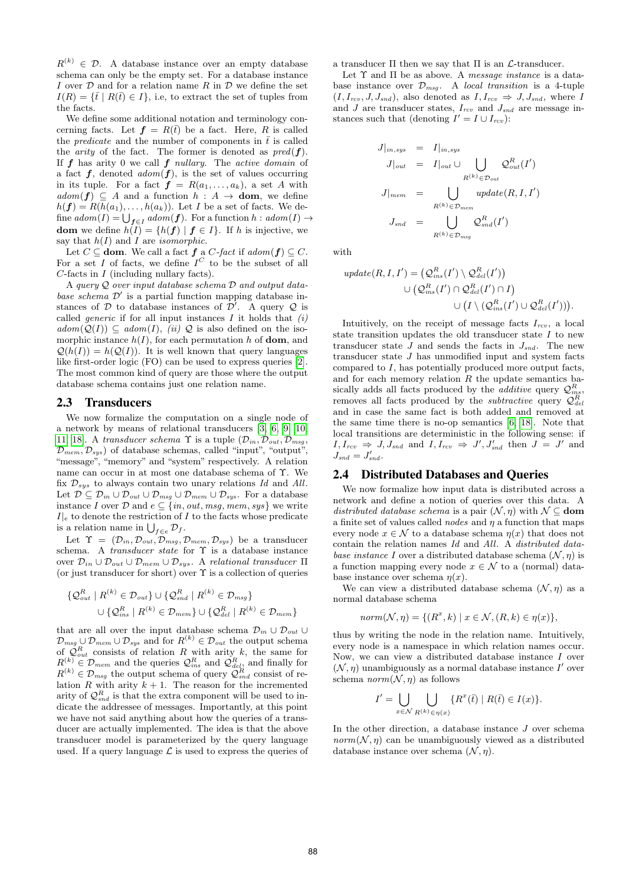$R^{(k)} \in \mathcal{D}$ . A database instance over an empty database schema can only be the empty set. For a database instance I over  $D$  and for a relation name R in  $D$  we define the set  $I(R) = {\{\bar{t} \mid R(\bar{t}) \in I\}}$ , i.e, to extract the set of tuples from the facts.

We define some additional notation and terminology concerning facts. Let  $f = R(\bar{t})$  be a fact. Here, R is called the *predicate* and the number of components in  $\bar{t}$  is called the *arity* of the fact. The former is denoted as  $pred(f)$ . If  $f$  has arity 0 we call  $f$  nullary. The active domain of a fact  $f$ , denoted  $\alpha \text{dom}(f)$ , is the set of values occurring in its tuple. For a fact  $f = R(a_1, \ldots, a_k)$ , a set A with  $adom(f) \subseteq A$  and a function  $h : A \rightarrow$  **dom**, we define  $h(\mathbf{f}) = R(h(a_1), \ldots, h(a_k))$ . Let I be a set of facts. We define  $\mathit{adom}(I) = \bigcup_{\bm{f} \in I} \mathit{adom}(\bm{f}).$  For a function  $h : \mathit{adom}(I) \rightarrow$ dom we define  $h(I) = \{h(f) | f \in I\}$ . If h is injective, we say that  $h(I)$  and I are *isomorphic*.

Let  $C \subseteq$  **dom**. We call a fact  $f$  a  $C$ -fact if  $adom(f) \subseteq C$ . For a set I of facts, we define  $I^C$  to be the subset of all  $C$ -facts in  $I$  (including nullary facts).

A query Q over input database schema D and output database schema  $\mathcal{D}'$  is a partial function mapping database instances of  $D$  to database instances of  $D'$ . A query  $Q$  is called *generic* if for all input instances  $I$  it holds that  $(i)$  $adom(Q(I)) \subseteq adom(I), \text{ (ii) } Q$  is also defined on the isomorphic instance  $h(I)$ , for each permutation h of **dom**, and  $Q(h(I)) = h(Q(I))$ . It is well known that query languages like first-order logic (FO) can be used to express queries [2]. The most common kind of query are those where the output database schema contains just one relation name.

#### 2.3 Transducers

We now formalize the computation on a single node of a network by means of relational transducers [3, 6, 9, 10, 11, 18]. A transducer schema  $\Upsilon$  is a tuple  $(\mathcal{D}_{in}, \mathcal{D}_{out}, \mathcal{D}_{msg},$  $\mathcal{D}_{mem}, \mathcal{D}_{sys}$  of database schemas, called "input", "output", "message", "memory" and "system" respectively. A relation name can occur in at most one database schema of Υ. We fix  $\mathcal{D}_{sys}$  to always contain two unary relations Id and All. Let  $\mathcal{D} \subseteq \mathcal{D}_{in} \cup \mathcal{D}_{out} \cup \mathcal{D}_{msg} \cup \mathcal{D}_{mem} \cup \mathcal{D}_{sys}$ . For a database instance I over D and  $e \subseteq \{in, out, msg, mem, sys\}$  we write  $I|_e$  to denote the restriction of I to the facts whose predicate is a relation name in  $\bigcup_{f \in e} \mathcal{D}_f$ .

Let  $\Upsilon = (\mathcal{D}_{in}, \mathcal{D}_{out}, \mathcal{D}_{msg}, \mathcal{D}_{mem}, \mathcal{D}_{sys})$  be a transducer schema. A *transducer state* for  $\Upsilon$  is a database instance over  $\mathcal{D}_{in} \cup \mathcal{D}_{out} \cup \mathcal{D}_{mem} \cup \mathcal{D}_{sys}$ . A relational transducer  $\Pi$ (or just transducer for short) over  $\Upsilon$  is a collection of queries

$$
\{Q_{out}^{R} | R^{(k)} \in \mathcal{D}_{out}\} \cup \{Q_{snd}^{R} | R^{(k)} \in \mathcal{D}_{msg}\}\
$$

$$
\cup \{Q_{ins}^{R} | R^{(k)} \in \mathcal{D}_{mem}\} \cup \{Q_{del}^{R} | R^{(k)} \in \mathcal{D}_{mem}\}\
$$

that are all over the input database schema  $\mathcal{D}_{in} \cup \mathcal{D}_{out} \cup$  $\mathcal{D}_{msg} \cup \mathcal{D}_{mem} \cup \mathcal{D}_{sys}$  and for  $R^{(k)} \in \mathcal{D}_{out}$  the output schema of  $\mathcal{Q}_{out}^R$  consists of relation R with arity k, the same for  $R^{(k)} \in \mathcal{D}_{mem}$  and the queries  $\mathcal{Q}_{ins}^R$  and  $\mathcal{Q}_{del}^R$ , and finally for  $R^{(k)} \in \mathcal{D}_{msg}$  the output schema of query  $\mathcal{Q}_{snd}^{R}$  consist of relation R with arity  $k + 1$ . The reason for the incremented arity of  $\mathcal{Q}_{\text{snd}}^R$  is that the extra component will be used to indicate the addressee of messages. Importantly, at this point we have not said anything about how the queries of a transducer are actually implemented. The idea is that the above transducer model is parameterized by the query language used. If a query language  $\mathcal L$  is used to express the queries of a transducer  $\Pi$  then we say that  $\Pi$  is an  $\mathcal{L}$ -transducer.

Let  $\Upsilon$  and  $\Pi$  be as above. A *message instance* is a database instance over  $\mathcal{D}_{msg}$ . A local transition is a 4-tuple  $(I, I_{rcv}, J, J_{snd})$ , also denoted as  $I, I_{rcv} \Rightarrow J, J_{snd}$ , where I and  $J$  are transducer states,  $I_{rcv}$  and  $J_{snd}$  are message instances such that (denoting  $I' = I \cup I_{rcv}$ ):

$$
J|_{in,sys} = I|_{in,sys}
$$
  
\n
$$
J|_{out} = I|_{out} \cup \bigcup_{R^{(k)} \in \mathcal{D}_{out}} \mathcal{Q}_{out}^{R}(I')
$$
  
\n
$$
J|_{mem} = \bigcup_{R^{(k)} \in \mathcal{D}_{mem}} update(R, I, I')
$$
  
\n
$$
J_{snd} = \bigcup_{R^{(k)} \in \mathcal{D}_{msg}} \mathcal{Q}_{snd}^{R}(I')
$$

with

$$
update(R, I, I') = (Q_{ins}^R(I') \setminus Q_{del}^R(I'))
$$
  

$$
\cup (Q_{ins}^R(I') \cap Q_{del}^R(I') \cap I)
$$
  

$$
\cup (I \setminus (Q_{ins}^R(I') \cup Q_{del}^R(I'))).
$$

Intuitively, on the receipt of message facts  $I_{rcv}$ , a local state transition updates the old transducer state I to new transducer state J and sends the facts in  $J_{snd}$ . The new transducer state J has unmodified input and system facts compared to I, has potentially produced more output facts, and for each memory relation  $R$  the update semantics basically adds all facts produced by the *additive* query  $\mathcal{Q}_{ins}^R$ , removes all facts produced by the *subtractive* query  $\mathcal{Q}_{de}^{R}$ and in case the same fact is both added and removed at the same time there is no-op semantics [6, 18]. Note that local transitions are deterministic in the following sense: if  $I, I_{rcv} \Rightarrow J, J_{snd} \text{ and } I, I_{rcv} \Rightarrow J', J'_{snd} \text{ then } J = J' \text{ and }$  $J_{snd} = J'_{snd}.$ 

#### 2.4 Distributed Databases and Queries

We now formalize how input data is distributed across a network and define a notion of queries over this data. A distributed database schema is a pair  $(\mathcal{N}, \eta)$  with  $\mathcal{N} \subseteq$  dom a finite set of values called *nodes* and  $\eta$  a function that maps every node  $x \in \mathcal{N}$  to a database schema  $\eta(x)$  that does not contain the relation names Id and All. A distributed database instance I over a distributed database schema  $(\mathcal{N}, \eta)$  is a function mapping every node  $x \in \mathcal{N}$  to a (normal) database instance over schema  $\eta(x)$ .

We can view a distributed database schema  $(\mathcal{N}, \eta)$  as a normal database schema

$$
norm(N, \eta) = \{(R^x, k) \mid x \in \mathcal{N}, (R, k) \in \eta(x)\},
$$

thus by writing the node in the relation name. Intuitively, every node is a namespace in which relation names occur. Now, we can view a distributed database instance I over  $(N, \eta)$  unambiguously as a normal database instance I' over schema  $norm(N, \eta)$  as follows

$$
I' = \bigcup_{x \in \mathcal{N}} \bigcup_{R^{(k)} \in \eta(x)} \{ R^x(\bar{t}) \mid R(\bar{t}) \in I(x) \}.
$$

In the other direction, a database instance  $J$  over schema  $norm(N, \eta)$  can be unambiguously viewed as a distributed database instance over schema  $(\mathcal{N}, \eta)$ .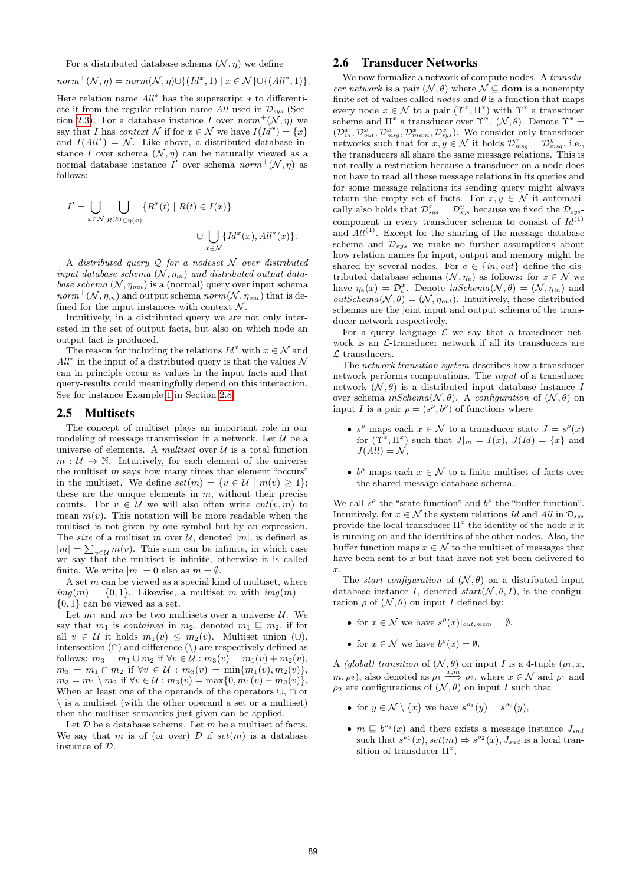For a distributed database schema  $(\mathcal{N}, \eta)$  we define

$$
norm^{+}(\mathcal{N}, \eta) = norm(\mathcal{N}, \eta) \cup \{(Id^{x}, 1) \mid x \in \mathcal{N}\} \cup \{(All^{*}, 1)\}.
$$

Here relation name All<sup>∗</sup> has the superscript ∗ to differentiate it from the regular relation name All used in  $\mathcal{D}_{sys}$  (Section 2.3). For a database instance I over  $norm^+(\mathcal{N}, \eta)$  we say that I has *context* N if for  $x \in \mathcal{N}$  we have  $I(Id^x) = \{x\}$ and  $I(All^*) = \mathcal{N}$ . Like above, a distributed database instance I over schema  $(N, \eta)$  can be naturally viewed as a normal database instance  $I'$  over schema  $norm^+(\mathcal{N}, \eta)$  as follows:

$$
I' = \bigcup_{x \in \mathcal{N}} \bigcup_{R^{(k)} \in \eta(x)} \{ R^x(\bar{t}) \mid R(\bar{t}) \in I(x) \}
$$
  

$$
\cup \bigcup_{x \in \mathcal{N}} \{ Id^x(x), All^*(x) \}.
$$

A distributed query  $Q$  for a nodeset  $N$  over distributed input database schema  $(\mathcal{N}, \eta_{in})$  and distributed output database schema  $(N, \eta_{out})$  is a (normal) query over input schema  $norm^+(\mathcal{N}, \eta_{in})$  and output schema  $norm(\mathcal{N}, \eta_{out})$  that is defined for the input instances with context  $\mathcal N$ .

Intuitively, in a distributed query we are not only interested in the set of output facts, but also on which node an output fact is produced.

The reason for including the relations  $Id^x$  with  $x \in \mathcal{N}$  and  $All^*$  in the input of a distributed query is that the values  $N$ can in principle occur as values in the input facts and that query-results could meaningfully depend on this interaction. See for instance Example 1 in Section 2.8.

#### 2.5 Multisets

The concept of multiset plays an important role in our modeling of message transmission in a network. Let  $\mathcal U$  be a universe of elements. A multiset over  $\mathcal U$  is a total function  $m: U \to \mathbb{N}$ . Intuitively, for each element of the universe the multiset  $m$  says how many times that element "occurs" in the multiset. We define  $set(m) = \{v \in \mathcal{U} \mid m(v) \geq 1\};$ these are the unique elements in  $m$ , without their precise counts. For  $v \in \mathcal{U}$  we will also often write  $cnt(v, m)$  to mean  $m(v)$ . This notation will be more readable when the multiset is not given by one symbol but by an expression. The size of a multiset m over  $\mathcal{U}$ , denoted  $|m|$ , is defined as  $|m| = \sum_{v \in \mathcal{U}} m(v)$ . This sum can be infinite, in which case we say that the multiset is infinite, otherwise it is called finite. We write  $|m| = 0$  also as  $m = \emptyset$ .

A set  $m$  can be viewed as a special kind of multiset, where  $img(m) = \{0, 1\}$ . Likewise, a multiset m with  $img(m)$  $\{0,1\}$  can be viewed as a set.

Let  $m_1$  and  $m_2$  be two multisets over a universe  $\mathcal{U}$ . We say that  $m_1$  is *contained* in  $m_2$ , denoted  $m_1 \sqsubseteq m_2$ , if for all  $v \in \mathcal{U}$  it holds  $m_1(v) \leq m_2(v)$ . Multiset union (∪), intersection  $(∩)$  and difference  $(\\)$  are respectively defined as follows:  $m_3 = m_1 \cup m_2$  if  $\forall v \in \mathcal{U} : m_3(v) = m_1(v) + m_2(v)$ ,  $m_3 = m_1 \cap m_2$  if  $\forall v \in \mathcal{U} : m_3(v) = \min\{m_1(v), m_2(v)\},\$  $m_3 = m_1 \setminus m_2$  if  $\forall v \in \mathcal{U} : m_3(v) = \max\{0, m_1(v) - m_2(v)\}.$ When at least one of the operands of the operators ∪, ∩ or \ is a multiset (with the other operand a set or a multiset) then the multiset semantics just given can be applied.

Let  $D$  be a database schema. Let  $m$  be a multiset of facts. We say that m is of (or over)  $D$  if  $set(m)$  is a database instance of D.

## 2.6 Transducer Networks

We now formalize a network of compute nodes. A *transdu*cer network is a pair  $(\mathcal{N}, \theta)$  where  $\mathcal{N} \subseteq$  **dom** is a nonempty finite set of values called *nodes* and  $\theta$  is a function that maps every node  $x \in \mathcal{N}$  to a pair  $(\Upsilon^x, \Pi^x)$  with  $\Upsilon^x$  a transducer schema and  $\Pi^x$  a transducer over  $\Upsilon^x$ .  $(\mathcal{N}, \theta)$ . Denote  $\Upsilon^x$  =  $(\mathcal{D}_{in}^x, \mathcal{D}_{out}^x, \mathcal{D}_{msg}^x, \mathcal{D}_{mem}^x, \mathcal{D}_{sys}^x)$ . We consider only transducer networks such that for  $x, y \in \mathcal{N}$  it holds  $\mathcal{D}_{msg}^x = \mathcal{D}_{msg}^y$ , i.e., the transducers all share the same message relations. This is not really a restriction because a transducer on a node does not have to read all these message relations in its queries and for some message relations its sending query might always return the empty set of facts. For  $x, y \in \mathcal{N}$  it automatically also holds that  $\mathcal{D}_{sys}^x = \mathcal{D}_{sys}^y$  because we fixed the  $\mathcal{D}_{sys}$ component in every transducer schema to consist of  $Id^{(1)}$ and  $All<sup>(1)</sup>$ . Except for the sharing of the message database schema and  $\mathcal{D}_{sys}$  we make no further assumptions about how relation names for input, output and memory might be shared by several nodes. For  $e \in \{in, out\}$  define the distributed database schema  $(\mathcal{N}, \eta_e)$  as follows: for  $x \in \mathcal{N}$  we have  $\eta_e(x) = \mathcal{D}_e^x$ . Denote  $inSchema(\mathcal{N}, \theta) = (\mathcal{N}, \eta_{in})$  and  $outSchema(\mathcal{N}, \theta) = (\mathcal{N}, \eta_{out})$ . Intuitively, these distributed schemas are the joint input and output schema of the transducer network respectively.

For a query language  $\mathcal L$  we say that a transducer network is an L-transducer network if all its transducers are L-transducers.

The network transition system describes how a transducer network performs computations. The input of a transducer network  $(\mathcal{N}, \theta)$  is a distributed input database instance I over schema  $inSchema(\mathcal{N}, \theta)$ . A configuration of  $(\mathcal{N}, \theta)$  on input I is a pair  $\rho = (s^{\rho}, b^{\rho})$  of functions where

- $s^{\rho}$  maps each  $x \in \mathcal{N}$  to a transducer state  $J = s^{\rho}(x)$ for  $(\Upsilon^x, \Pi^x)$  such that  $J|_{in} = I(x)$ ,  $J(Id) = \{x\}$  and  $J(All) = \mathcal{N},$
- $b^{\rho}$  maps each  $x \in \mathcal{N}$  to a finite multiset of facts over the shared message database schema.

We call  $s^{\rho}$  the "state function" and  $b^{\rho}$  the "buffer function". Intuitively, for  $x \in \mathcal{N}$  the system relations Id and All in  $\mathcal{D}_{sys}$ provide the local transducer  $\Pi^x$  the identity of the node x it is running on and the identities of the other nodes. Also, the buffer function maps  $x \in \mathcal{N}$  to the multiset of messages that have been sent to x but that have not yet been delivered to x.

The *start configuration* of  $(N, \theta)$  on a distributed input database instance I, denoted  $start(N, \theta, I)$ , is the configuration  $\rho$  of  $(\mathcal{N}, \theta)$  on input I defined by:

- for  $x \in \mathcal{N}$  we have  $s^{\rho}(x)|_{out, mem} = \emptyset$ ,
- for  $x \in \mathcal{N}$  we have  $b^{\rho}(x) = \emptyset$ .

A (global) transition of  $(\mathcal{N}, \theta)$  on input I is a 4-tuple  $(\rho_1, x, \theta)$  $(m, \rho_2)$ , also denoted as  $\rho_1 \stackrel{x,m}{\Longrightarrow} \rho_2$ , where  $x \in \mathcal{N}$  and  $\rho_1$  and  $\rho_2$  are configurations of  $(\mathcal{N}, \theta)$  on input I such that

- for  $y \in \mathcal{N} \setminus \{x\}$  we have  $s^{\rho_1}(y) = s^{\rho_2}(y)$ ,
- $m \subseteq b^{\rho_1}(x)$  and there exists a message instance  $J_{sna}$ such that  $s^{\rho_1}(x)$ ,  $set(m) \Rightarrow s^{\rho_2}(x)$ ,  $J_{snd}$  is a local transition of transducer  $\Pi^x$ ,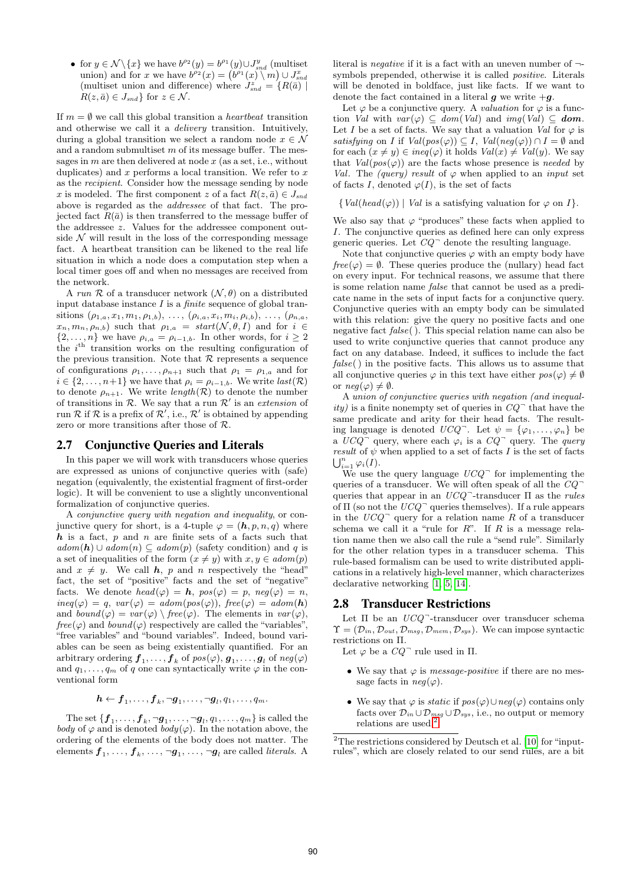• for  $y \in \mathcal{N} \backslash \{x\}$  we have  $b^{\rho_2}(y) = b^{\rho_1}(y) \cup J_{snd}^y$  (multiset union) and for x we have  $b^{\rho_2}(x) = (b^{\rho_1}(x) \setminus m) \cup J_{snd}^x$ (multiset union and difference) where  $J_{snd}^z = \{R(\bar{a}) |$  $R(z, \bar{a}) \in J_{\text{snd}}$  for  $z \in \mathcal{N}$ .

If  $m = \emptyset$  we call this global transition a *heartbeat* transition and otherwise we call it a delivery transition. Intuitively, during a global transition we select a random node  $x \in \mathcal{N}$ and a random submultiset  $m$  of its message buffer. The messages in  $m$  are then delivered at node  $x$  (as a set, i.e., without duplicates) and  $x$  performs a local transition. We refer to  $x$ as the recipient. Consider how the message sending by node x is modeled. The first component z of a fact  $R(z, \bar{a}) \in J_{\text{snd}}$ above is regarded as the addressee of that fact. The projected fact  $R(\bar{a})$  is then transferred to the message buffer of the addressee z. Values for the addressee component outside  $\mathcal N$  will result in the loss of the corresponding message fact. A heartbeat transition can be likened to the real life situation in which a node does a computation step when a local timer goes off and when no messages are received from the network.

A run  $\mathcal R$  of a transducer network  $(\mathcal N, \theta)$  on a distributed input database instance  $I$  is a *finite* sequence of global transitions  $(\rho_{1,a}, x_1, m_1, \rho_{1,b}), \ldots, (\rho_{i,a}, x_i, m_i, \rho_{i,b}), \ldots, (\rho_{n,a},$  $x_n, m_n, \rho_{n,b}$  such that  $\rho_{1,a} = start(\mathcal{N}, \theta, I)$  and for  $i \in$  $\{2,\ldots,n\}$  we have  $\rho_{i,a} = \rho_{i-1,b}$ . In other words, for  $i \geq 2$ the  $i^{\text{th}}$  transition works on the resulting configuration of the previous transition. Note that  $R$  represents a sequence of configurations  $\rho_1, \ldots, \rho_{n+1}$  such that  $\rho_1 = \rho_{1,a}$  and for  $i \in \{2, \ldots, n+1\}$  we have that  $\rho_i = \rho_{i-1,b}$ . We write  $last(\mathcal{R})$ to denote  $\rho_{n+1}$ . We write length(R) to denote the number of transitions in  $R$ . We say that a run  $R'$  is an extension of run R if R is a prefix of  $\mathcal{R}'$ , i.e.,  $\mathcal{R}'$  is obtained by appending zero or more transitions after those of R.

## 2.7 Conjunctive Queries and Literals

In this paper we will work with transducers whose queries are expressed as unions of conjunctive queries with (safe) negation (equivalently, the existential fragment of first-order logic). It will be convenient to use a slightly unconventional formalization of conjunctive queries.

A conjunctive query with negation and inequality, or conjunctive query for short, is a 4-tuple  $\varphi = (\mathbf{h}, p, n, q)$  where  $h$  is a fact, p and n are finite sets of a facts such that  $adom(\mathbf{h}) \cup adom(n) \subseteq adom(p)$  (safety condition) and q is a set of inequalities of the form  $(x \neq y)$  with  $x, y \in adom(p)$ and  $x \neq y$ . We call h, p and n respectively the "head" fact, the set of "positive" facts and the set of "negative" facts. We denote  $head(\varphi) = h$ ,  $pos(\varphi) = p$ ,  $neg(\varphi) = n$ ,  $ineq(\varphi) = q$ ,  $var(\varphi) = adom(pos(\varphi))$ ,  $free(\varphi) = adom(\mathbf{h})$ and  $bound(\varphi) = var(\varphi) \setminus free(\varphi)$ . The elements in  $var(\varphi)$ ,  $free(\varphi)$  and  $bound(\varphi)$  respectively are called the "variables". "free variables" and "bound variables". Indeed, bound variables can be seen as being existentially quantified. For an arbitrary ordering  $\boldsymbol{f}_1,\ldots,\boldsymbol{f}_k$  of  $\mathit{pos}(\varphi),\boldsymbol{g}_1,\ldots,\boldsymbol{g}_l$  of  $\mathit{neg}(\varphi)$ and  $q_1, \ldots, q_m$  of q one can syntactically write  $\varphi$  in the conventional form

 $\boldsymbol{h} \leftarrow \boldsymbol{f}_1, \dots, \boldsymbol{f}_k, \neg \boldsymbol{g}_1, \dots, \neg \boldsymbol{g}_l, q_1, \dots, q_m.$ 

The set  $\{{\bm f}_1,\ldots,{\bm f}_k, \neg {\bm g}_1,\ldots,\neg {\bm g}_l,q_1,\ldots,q_m\}$  is called the body of  $\varphi$  and is denoted  $body(\varphi)$ . In the notation above, the ordering of the elements of the body does not matter. The elements  $\boldsymbol{f}_1,\,\ldots,\,\boldsymbol{f}_k,\,\ldots,\,\neg \boldsymbol{g}_1,\,\ldots,\,\neg \boldsymbol{g}_l$  are called *literals*. A

literal is negative if it is a fact with an uneven number of ¬ symbols prepended, otherwise it is called positive. Literals will be denoted in boldface, just like facts. If we want to denote the fact contained in a literal  $g$  we write  $+g$ .

Let  $\varphi$  be a conjunctive query. A *valuation* for  $\varphi$  is a function Val with  $var(\varphi) \subseteq dom(Val)$  and  $img(Val) \subseteq dom$ . Let I be a set of facts. We say that a valuation Val for  $\varphi$  is satisfying on I if  $Val(pos(\varphi)) \subseteq I$ ,  $Val(neg(\varphi)) \cap I = \emptyset$  and for each  $(x \neq y) \in ineq(\varphi)$  it holds  $Val(x) \neq Val(y)$ . We say that  $Val(pos(\varphi))$  are the facts whose presence is needed by Val. The (query) result of  $\varphi$  when applied to an *input* set of facts I, denoted  $\varphi(I)$ , is the set of facts

 $\{Val(head(\varphi)) | Val$  is a satisfying valuation for  $\varphi$  on  $I\}.$ 

We also say that  $\varphi$  "produces" these facts when applied to I. The conjunctive queries as defined here can only express generic queries. Let  $CQ$ <sup> $\bar{ }$ </sup> denote the resulting language.

Note that conjunctive queries  $\varphi$  with an empty body have  $free(\varphi) = \emptyset$ . These queries produce the (nullary) head fact on every input. For technical reasons, we assume that there is some relation name false that cannot be used as a predicate name in the sets of input facts for a conjunctive query. Conjunctive queries with an empty body can be simulated with this relation: give the query no positive facts and one negative fact false( ). This special relation name can also be used to write conjunctive queries that cannot produce any fact on any database. Indeed, it suffices to include the fact false( ) in the positive facts. This allows us to assume that all conjunctive queries  $\varphi$  in this text have either  $pos(\varphi) \neq \emptyset$ or  $neq(\varphi) \neq \emptyset$ .

A union of conjunctive queries with negation (and inequality) is a finite nonempty set of queries in  $CQ^-$  that have the same predicate and arity for their head facts. The resulting language is denoted  $UCQ$ . Let  $\psi = {\varphi_1, \ldots, \varphi_n}$  be a  $UCQ$ <sup>-</sup> query, where each  $\varphi_i$  is a  $CQ$ <sup>-</sup> query. The *query* result of  $\psi$  when applied to a set of facts I is the set of facts  $\bigcup_{i=1}^n \varphi_i(I).$ 

We use the query language  $UCQ$ <sup> $-$ </sup> for implementing the queries of a transducer. We will often speak of all the  $\mathit{CQ}^$ queries that appear in an  $UCQ$ <sup>-</sup>-transducer  $\Pi$  as the *rules* of  $\Pi$  (so not the  $UCQ$ <sup>-</sup> queries themselves). If a rule appears in the  $UCQ$ <sup>-</sup> query for a relation name R of a transducer schema we call it a "rule for  $R$ ". If  $R$  is a message relation name then we also call the rule a "send rule". Similarly for the other relation types in a transducer schema. This rule-based formalism can be used to write distributed applications in a relatively high-level manner, which characterizes declarative networking [1, 5, 14].

## 2.8 Transducer Restrictions

Let  $\Pi$  be an  $UCQ$ <sup>-</sup>-transducer over transducer schema  $\Upsilon = (\mathcal{D}_{in}, \mathcal{D}_{out}, \mathcal{D}_{msg}, \mathcal{D}_{mem}, \mathcal{D}_{sys})$ . We can impose syntactic restrictions on Π.

Let  $\varphi$  be a  $CQ$ <sup>-</sup> rule used in  $\Pi$ .

- $\bullet\,$  We say that  $\varphi$  is  $\emph{message-positive}$  if there are no messsage facts in  $neg(\varphi)$ .
- We say that  $\varphi$  is *static* if  $pos(\varphi) \cup neg(\varphi)$  contains only facts over  $\mathcal{D}_{in} \cup \mathcal{D}_{msg} \cup \mathcal{D}_{sys}$ , i.e., no output or memory relations are used.<sup>2</sup>

<sup>&</sup>lt;sup>2</sup>The restrictions considered by Deutsch et al. [10] for "inputrules", which are closely related to our send rules, are a bit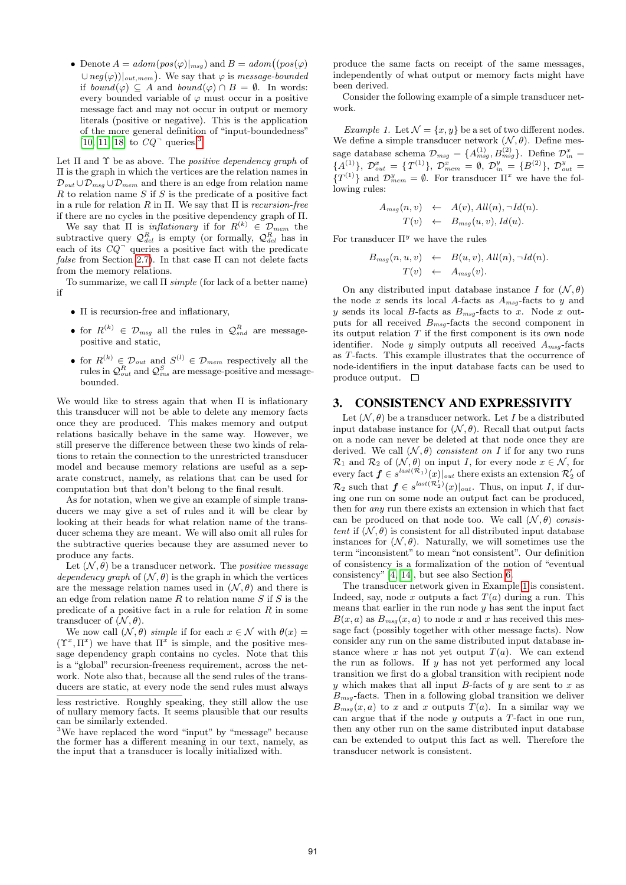• Denote  $A = adom(pos(\varphi)|_{msg})$  and  $B = adom((pos(\varphi))_{msg})$  $\cup$  neg( $\varphi$ ))|<sub>out, mem</sub>). We say that  $\varphi$  is message-bounded if  $bound(\varphi) \subseteq A$  and  $bound(\varphi) \cap B = \emptyset$ . In words: every bounded variable of  $\varphi$  must occur in a positive message fact and may not occur in output or memory literals (positive or negative). This is the application of the more general definition of "input-boundedness" [10, 11, 18] to  $CQ$ <sup> $\neg$ </sup> queries.<sup>3</sup>

Let  $\Pi$  and  $\Upsilon$  be as above. The *positive dependency graph* of Π is the graph in which the vertices are the relation names in  $\mathcal{D}_{out} \cup \mathcal{D}_{msg} \cup \mathcal{D}_{mem}$  and there is an edge from relation name  $R$  to relation name  $S$  if  $S$  is the predicate of a positive fact in a rule for relation  $R$  in  $\Pi$ . We say that  $\Pi$  is *recursion-free* if there are no cycles in the positive dependency graph of Π.

We say that  $\Pi$  is *inflationary* if for  $R^{(k)} \in \mathcal{D}_{mem}$  the subtractive query  $\mathcal{Q}_{del}^{R}$  is empty (or formally,  $\mathcal{Q}_{del}^{R}$  has in each of its  $CQ$ <sup> $\bar{Q}$ </sup> queries a positive fact with the predicate false from Section 2.7). In that case  $\Pi$  can not delete facts from the memory relations.

To summarize, we call  $\Pi$  simple (for lack of a better name) if

- $\bullet$   $\Pi$  is recursion-free and inflationary,
- for  $R^{(k)} \in \mathcal{D}_{msg}$  all the rules in  $\mathcal{Q}_{snd}^R$  are messagepositive and static,
- for  $R^{(k)} \in \mathcal{D}_{out}$  and  $S^{(l)} \in \mathcal{D}_{mem}$  respectively all the rules in  $\mathcal{Q}^R_{out}$  and  $\mathcal{Q}^S_{ins}$  are message-positive and messagebounded.

We would like to stress again that when  $\Pi$  is inflationary this transducer will not be able to delete any memory facts once they are produced. This makes memory and output relations basically behave in the same way. However, we still preserve the difference between these two kinds of relations to retain the connection to the unrestricted transducer model and because memory relations are useful as a separate construct, namely, as relations that can be used for computation but that don't belong to the final result.

As for notation, when we give an example of simple transducers we may give a set of rules and it will be clear by looking at their heads for what relation name of the transducer schema they are meant. We will also omit all rules for the subtractive queries because they are assumed never to produce any facts.

Let  $(\mathcal{N}, \theta)$  be a transducer network. The *positive message* dependency graph of  $(N, \theta)$  is the graph in which the vertices are the message relation names used in  $(\mathcal{N}, \theta)$  and there is an edge from relation name  $R$  to relation name  $S$  if  $S$  is the predicate of a positive fact in a rule for relation  $R$  in some transducer of  $(\mathcal{N}, \theta)$ .

We now call  $(\mathcal{N}, \theta)$  simple if for each  $x \in \mathcal{N}$  with  $\theta(x) =$  $(\Upsilon^x, \Pi^x)$  we have that  $\Pi^x$  is simple, and the positive message dependency graph contains no cycles. Note that this is a "global" recursion-freeness requirement, across the network. Note also that, because all the send rules of the transducers are static, at every node the send rules must always produce the same facts on receipt of the same messages, independently of what output or memory facts might have been derived.

Consider the following example of a simple transducer network.

Example 1. Let  $\mathcal{N} = \{x, y\}$  be a set of two different nodes. We define a simple transducer network  $(\mathcal{N}, \theta)$ . Define message database schema  $\mathcal{D}_{msg} = \{A^{(1)}_{msg}, B^{(2)}_{msg}\}.$  Define  $\mathcal{D}_{in}^x$  ${A<sup>(1)</sup>}, \mathcal{D}_{out}^x = {T<sup>(1)</sup>}, \mathcal{D}_{mem}^x = \emptyset, \mathcal{D}_{in}^y = {B<sup>(2)</sup>}, \mathcal{D}_{out}^y =$  $\{T^{(1)}\}\$ and  $\mathcal{D}_{mem}^y = \emptyset$ . For transducer  $\Pi^x$  we have the following rules:

$$
A_{msg}(n, v) \leftarrow A(v), All(n), \neg Id(n). T(v) \leftarrow B_{msg}(u, v), Id(u).
$$

For transducer  $\Pi^y$  we have the rules

$$
B_{msg}(n, u, v) \leftarrow B(u, v), All(n), \neg Id(n).
$$
  

$$
T(v) \leftarrow A_{msg}(v).
$$

On any distributed input database instance I for  $(\mathcal{N}, \theta)$ the node x sends its local A-facts as  $A_{msg}$ -facts to y and y sends its local B-facts as  $B_{msg}$ -facts to x. Node x outputs for all received  $B_{msg}$ -facts the second component in its output relation  $T$  if the first component is its own node identifier. Node y simply outputs all received  $A_{msq}$ -facts as T-facts. This example illustrates that the occurrence of node-identifiers in the input database facts can be used to produce output.  $\square$ 

## 3. CONSISTENCY AND EXPRESSIVITY

Let  $(\mathcal{N}, \theta)$  be a transducer network. Let I be a distributed input database instance for  $(\mathcal{N}, \theta)$ . Recall that output facts on a node can never be deleted at that node once they are derived. We call  $(\mathcal{N}, \theta)$  consistent on I if for any two runs  $\mathcal{R}_1$  and  $\mathcal{R}_2$  of  $(\mathcal{N}, \theta)$  on input *I*, for every node  $x \in \mathcal{N}$ , for every fact  $f \in s^{last(\mathcal{R}_1)}(x)|_{out}$  there exists an extension  $\mathcal{R}'_2$  of  $\mathcal{R}_2$  such that  $\boldsymbol{f} \in s^{last(\mathcal{R}_2)}(x)|_{out}$ . Thus, on input I, if during one run on some node an output fact can be produced, then for any run there exists an extension in which that fact can be produced on that node too. We call  $(\mathcal{N}, \theta)$  consistent if  $(N, \theta)$  is consistent for all distributed input database instances for  $(\mathcal{N}, \theta)$ . Naturally, we will sometimes use the term "inconsistent" to mean "not consistent". Our definition of consistency is a formalization of the notion of "eventual consistency" [4, 14], but see also Section 6.

The transducer network given in Example 1 is consistent. Indeed, say, node x outputs a fact  $T(a)$  during a run. This means that earlier in the run node  $y$  has sent the input fact  $B(x, a)$  as  $B_{msq}(x, a)$  to node x and x has received this message fact (possibly together with other message facts). Now consider any run on the same distributed input database instance where x has not yet output  $T(a)$ . We can extend the run as follows. If  $y$  has not yet performed any local transition we first do a global transition with recipient node y which makes that all input B-facts of y are sent to x as  $B_{msq}$ -facts. Then in a following global transition we deliver  $B_{msg}(x, a)$  to x and x outputs  $T(a)$ . In a similar way we can argue that if the node  $y$  outputs a  $T$ -fact in one run, then any other run on the same distributed input database can be extended to output this fact as well. Therefore the transducer network is consistent.

less restrictive. Roughly speaking, they still allow the use of nullary memory facts. It seems plausible that our results can be similarly extended.

<sup>3</sup>We have replaced the word "input" by "message" because the former has a different meaning in our text, namely, as the input that a transducer is locally initialized with.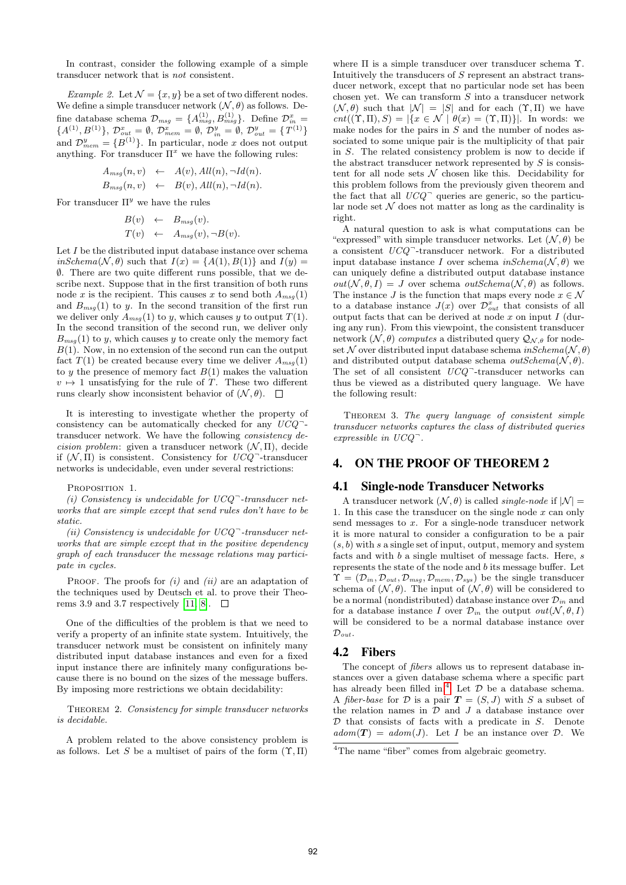In contrast, consider the following example of a simple transducer network that is not consistent.

Example 2. Let  $\mathcal{N} = \{x, y\}$  be a set of two different nodes. We define a simple transducer network  $(\mathcal{N}, \theta)$  as follows. Define database schema  $\mathcal{D}_{msg} = \{A_{msg}^{(1)}, B_{msg}^{(1)}\}$ . Define  $\mathcal{D}_{in}^x$  =  ${A}^{(1)}, {B}^{(1)}\}, \mathcal{D}_{out}^x = \emptyset, \mathcal{D}_{mem}^x = \emptyset, \mathcal{D}_{in}^y = \emptyset, \mathcal{D}_{out}^y = {T}^{(1)}\}$ and  $\mathcal{D}_{mem}^y = \{B^{(1)}\}$ . In particular, node x does not output anything. For transducer  $\Pi^x$  we have the following rules:

$$
A_{msg}(n, v) \leftarrow A(v), All(n), \neg Id(n).
$$
  
\n
$$
B_{msg}(n, v) \leftarrow B(v), All(n), \neg Id(n).
$$

For transducer  $\Pi^y$  we have the rules

$$
B(v) \leftarrow B_{msg}(v).
$$
  
\n
$$
T(v) \leftarrow A_{msg}(v), \neg B(v).
$$

Let I be the distributed input database instance over schema  $inSchema(\mathcal{N}, \theta)$  such that  $I(x) = \{A(1), B(1)\}\$ and  $I(y) =$ ∅. There are two quite different runs possible, that we describe next. Suppose that in the first transition of both runs node x is the recipient. This causes x to send both  $A_{msq}(1)$ and  $B_{msg}(1)$  to y. In the second transition of the first run we deliver only  $A_{msq}(1)$  to y, which causes y to output  $T(1)$ . In the second transition of the second run, we deliver only  $B_{msg}(1)$  to y, which causes y to create only the memory fact  $B(1)$ . Now, in no extension of the second run can the output fact  $T(1)$  be created because every time we deliver  $A_{msq}(1)$ to y the presence of memory fact  $B(1)$  makes the valuation  $v \mapsto 1$  unsatisfying for the rule of T. These two different runs clearly show inconsistent behavior of  $(\mathcal{N}, \theta)$ .  $\Box$ 

It is interesting to investigate whether the property of consistency can be automatically checked for any  $UCQ^$ transducer network. We have the following consistency decision problem: given a transducer network  $(N, \Pi)$ , decide if  $(N, \Pi)$  is consistent. Consistency for  $UCQ^-$ -transducer networks is undecidable, even under several restrictions:

PROPOSITION 1.

(i) Consistency is undecidable for  $UCQ^-$ -transducer networks that are simple except that send rules don't have to be static.

(ii) Consistency is undecidable for  $UCQ^-$ -transducer networks that are simple except that in the positive dependency graph of each transducer the message relations may participate in cycles.

PROOF. The proofs for  $(i)$  and  $(ii)$  are an adaptation of the techniques used by Deutsch et al. to prove their Theorems 3.9 and 3.7 respectively [11, 8].  $\Box$ 

One of the difficulties of the problem is that we need to verify a property of an infinite state system. Intuitively, the transducer network must be consistent on infinitely many distributed input database instances and even for a fixed input instance there are infinitely many configurations because there is no bound on the sizes of the message buffers. By imposing more restrictions we obtain decidability:

THEOREM 2. Consistency for simple transducer networks is decidable.

A problem related to the above consistency problem is as follows. Let S be a multiset of pairs of the form  $(\Upsilon, \Pi)$ 

where Π is a simple transducer over transducer schema Υ. Intuitively the transducers of S represent an abstract transducer network, except that no particular node set has been chosen yet. We can transform  $S$  into a transducer network  $(N, \theta)$  such that  $|N| = |S|$  and for each  $(\Upsilon, \Pi)$  we have  $cnt((\Upsilon, \Pi), S) = |\{x \in \mathcal{N} \mid \theta(x) = (\Upsilon, \Pi)\}|.$  In words: we make nodes for the pairs in  $S$  and the number of nodes associated to some unique pair is the multiplicity of that pair in S. The related consistency problem is now to decide if the abstract transducer network represented by  $S$  is consistent for all node sets  $N$  chosen like this. Decidability for this problem follows from the previously given theorem and the fact that all  $UCQ$ <sup> $\bar{ }$ </sup> queries are generic, so the particular node set  $N$  does not matter as long as the cardinality is right.

A natural question to ask is what computations can be "expressed" with simple transducer networks. Let  $(\mathcal{N}, \theta)$  be a consistent  $UCQ$ <sup>-</sup>transducer network. For a distributed input database instance I over schema  $inSchema(\mathcal{N}, \theta)$  we can uniquely define a distributed output database instance  $out(\mathcal{N}, \theta, I) = J$  over schema  $outSchema(\mathcal{N}, \theta)$  as follows. The instance J is the function that maps every node  $x \in \mathcal{N}$ to a database instance  $J(x)$  over  $\mathcal{D}_{out}^x$  that consists of all output facts that can be derived at node  $x$  on input  $I$  (during any run). From this viewpoint, the consistent transducer network  $(\mathcal{N}, \theta)$  computes a distributed query  $\mathcal{Q}_{\mathcal{N}, \theta}$  for nodeset N over distributed input database schema  $inSchema(\mathcal{N}, \theta)$ and distributed output database schema  $outSchema(\mathcal{N}, \theta)$ . The set of all consistent  $UCQ$ <sup>-</sup>-transducer networks can thus be viewed as a distributed query language. We have the following result:

THEOREM 3. The query language of consistent simple transducer networks captures the class of distributed queries  $expressible$  in  $UCQ^-$ .

## 4. ON THE PROOF OF THEOREM 2

#### 4.1 Single-node Transducer Networks

A transducer network  $(\mathcal{N}, \theta)$  is called *single-node* if  $|\mathcal{N}| =$ 1. In this case the transducer on the single node  $x$  can only send messages to  $x$ . For a single-node transducer network it is more natural to consider a configuration to be a pair  $(s, b)$  with s a single set of input, output, memory and system facts and with b a single multiset of message facts. Here, s represents the state of the node and b its message buffer. Let  $\Upsilon = (\mathcal{D}_{in}, \mathcal{D}_{out}, \mathcal{D}_{msg}, \mathcal{D}_{mem}, \mathcal{D}_{sys})$  be the single transducer schema of  $(\mathcal{N}, \theta)$ . The input of  $(\mathcal{N}, \theta)$  will be considered to be a normal (nondistributed) database instance over  $\mathcal{D}_{in}$  and for a database instance I over  $\mathcal{D}_{in}$  the output  $out(\mathcal{N}, \theta, I)$ will be considered to be a normal database instance over  $\mathcal{D}_{out}.$ 

## 4.2 Fibers

The concept of fibers allows us to represent database instances over a given database schema where a specific part has already been filled in.<sup>4</sup> Let  $D$  be a database schema. A *fiber-base* for D is a pair  $T = (S, J)$  with S a subset of the relation names in  $\mathcal D$  and  $J$  a database instance over  $D$  that consists of facts with a predicate in  $S$ . Denote  $adom(\mathbf{T}) = adom(J)$ . Let I be an instance over D. We

<sup>&</sup>lt;sup>4</sup>The name "fiber" comes from algebraic geometry.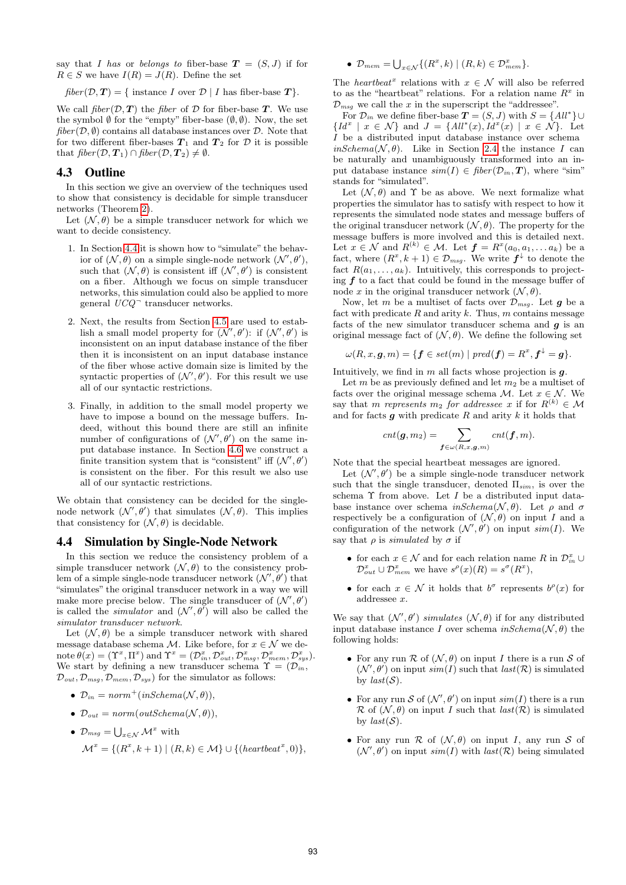say that I has or belongs to fiber-base  $T = (S, J)$  if for  $R \in S$  we have  $I(R) = \overline{J(R)}$ . Define the set

 $fiber(\mathcal{D}, \mathbf{T}) = \{ \text{ instance } I \text{ over } \mathcal{D} \mid I \text{ has fiber-base } \mathbf{T} \}.$ 

We call  $\text{fiber}(\mathcal{D}, \mathcal{T})$  the fiber of  $\mathcal D$  for fiber-base  $\mathcal T$ . We use the symbol  $\emptyset$  for the "empty" fiber-base  $(\emptyset, \emptyset)$ . Now, the set  $\text{fiber}(\mathcal{D}, \emptyset)$  contains all database instances over  $\mathcal{D}$ . Note that for two different fiber-bases  $T_1$  and  $T_2$  for  $D$  it is possible that  $fiber(\mathcal{D}, \mathcal{T}_1) \cap fiber(\mathcal{D}, \mathcal{T}_2) \neq \emptyset$ .

#### 4.3 Outline

In this section we give an overview of the techniques used to show that consistency is decidable for simple transducer networks (Theorem 2).

Let  $(\mathcal{N}, \theta)$  be a simple transducer network for which we want to decide consistency.

- 1. In Section 4.4 it is shown how to "simulate" the behavior of  $(\mathcal{N}, \theta)$  on a simple single-node network  $(\mathcal{N}', \theta')$ , such that  $(\mathcal{N}, \theta)$  is consistent iff  $(\mathcal{N}', \theta')$  is consistent on a fiber. Although we focus on simple transducer networks, this simulation could also be applied to more general  $UCQ$ <sup> $-$ </sup> transducer networks.
- 2. Next, the results from Section 4.5 are used to establish a small model property for  $(\mathcal{N}', \theta')$ : if  $(\mathcal{N}', \theta')$  is inconsistent on an input database instance of the fiber then it is inconsistent on an input database instance of the fiber whose active domain size is limited by the syntactic properties of  $(\mathcal{N}', \theta')$ . For this result we use all of our syntactic restrictions.
- 3. Finally, in addition to the small model property we have to impose a bound on the message buffers. Indeed, without this bound there are still an infinite number of configurations of  $(\mathcal{N}', \theta')$  on the same input database instance. In Section 4.6 we construct a finite transition system that is "consistent" iff  $(\mathcal{N}', \theta')$ is consistent on the fiber. For this result we also use all of our syntactic restrictions.

We obtain that consistency can be decided for the singlenode network  $(\mathcal{N}', \theta')$  that simulates  $(\mathcal{N}, \theta)$ . This implies that consistency for  $(\mathcal{N}, \theta)$  is decidable.

#### 4.4 Simulation by Single-Node Network

In this section we reduce the consistency problem of a simple transducer network  $(\mathcal{N}, \theta)$  to the consistency problem of a simple single-node transducer network  $(\mathcal{N}', \theta')$  that "simulates" the original transducer network in a way we will make more precise below. The single transducer of  $(\mathcal{N}', \theta')$ is called the *simulator* and  $(\mathcal{N}', \theta)$  will also be called the simulator transducer network.

Let  $(\mathcal{N}, \theta)$  be a simple transducer network with shared message database schema M. Like before, for  $x \in \mathcal{N}$  we denote  $\theta(x) = (\Upsilon^x, \Pi^x)$  and  $\Upsilon^x = (\mathcal{D}_{in}^x, \mathcal{D}_{out}^x, \mathcal{D}_{msg}^x, \mathcal{D}_{mem}^x, \mathcal{D}_{sys}^x)$ . We start by defining a new transducer schema  $\Upsilon = (\mathcal{D}_{in},$  $\mathcal{D}_{out}, \mathcal{D}_{msg}, \mathcal{D}_{mem}, \mathcal{D}_{sys}$  for the simulator as follows:

- $\mathcal{D}_{in} = norm^+(inSchema(\mathcal{N}, \theta)),$
- $\mathcal{D}_{out} = norm(outSchema(\mathcal{N}, \theta)),$

• 
$$
\mathcal{D}_{msg} = \bigcup_{x \in \mathcal{N}} \mathcal{M}^x
$$
 with  
\n
$$
\mathcal{M}^x = \{ (R^x, k+1) \mid (R, k) \in \mathcal{M} \} \cup \{ (heartbeat^x, 0) \},
$$

• 
$$
\mathcal{D}_{mem} = \bigcup_{x \in \mathcal{N}} \{ (R^x, k) \mid (R, k) \in \mathcal{D}^x_{mem} \}.
$$

The *heartbeat*<sup>x</sup> relations with  $x \in \mathcal{N}$  will also be referred to as the "heartbeat" relations. For a relation name  $R^x$  in  $\mathcal{D}_{msg}$  we call the x in the superscript the "addressee".

For  $\mathcal{D}_{in}$  we define fiber-base  $\mathbf{T} = (S, J)$  with  $S = \{All^*\} \cup$  ${Id<sup>x</sup> | x \in \mathcal{N}}$  and  $J = {All<sup>*</sup>(x), Id<sup>x</sup>(x) | x \in \mathcal{N}}$ . Let I be a distributed input database instance over schema  $inSchema(\mathcal{N}, \theta)$ . Like in Section 2.4 the instance I can be naturally and unambiguously transformed into an input database instance  $sim(I) \in fiber(\mathcal{D}_{in}, \mathbf{T})$ , where "sim" stands for "simulated".

Let  $(N, \theta)$  and  $\Upsilon$  be as above. We next formalize what properties the simulator has to satisfy with respect to how it represents the simulated node states and message buffers of the original transducer network  $(N, \theta)$ . The property for the message buffers is more involved and this is detailed next. Let  $x \in \mathcal{N}$  and  $R^{(k)} \in \mathcal{M}$ . Let  $\boldsymbol{f} = R^x(a_0, a_1, \dots a_k)$  be a fact, where  $(R^x, k+1) \in \mathcal{D}_{msg}$ . We write  $f^{\downarrow}$  to denote the fact  $R(a_1, \ldots, a_k)$ . Intuitively, this corresponds to projecting  $f$  to a fact that could be found in the message buffer of node x in the original transducer network  $(\mathcal{N}, \theta)$ .

Now, let m be a multiset of facts over  $\mathcal{D}_{msg}$ . Let g be a fact with predicate  $R$  and arity  $k$ . Thus,  $m$  contains message facts of the new simulator transducer schema and  $g$  is an original message fact of  $(\mathcal{N}, \theta)$ . We define the following set

$$
\omega(R,x,\boldsymbol g,m)=\{\boldsymbol f\in set(m)\mid pred(\boldsymbol f)=R^x,\boldsymbol f^\downarrow=\boldsymbol g\}.
$$

Intuitively, we find in  $m$  all facts whose projection is  $q$ .

Let  $m$  be as previously defined and let  $m_2$  be a multiset of facts over the original message schema M. Let  $x \in \mathcal{N}$ . We say that m represents  $m_2$  for addressee x if for  $R^{(k)} \in \mathcal{M}$ and for facts  $g$  with predicate  $R$  and arity  $k$  it holds that

$$
cnt(\boldsymbol{g}, m_2) = \sum_{\boldsymbol{f} \in \omega(R, x, \boldsymbol{g}, m)} cnt(\boldsymbol{f}, m).
$$

Note that the special heartbeat messages are ignored.

Let  $(\mathcal{N}', \theta')$  be a simple single-node transducer network such that the single transducer, denoted  $\Pi_{sim}$ , is over the schema  $\Upsilon$  from above. Let I be a distributed input database instance over schema  $inSchema(\mathcal{N}, \theta)$ . Let  $\rho$  and  $\sigma$ respectively be a configuration of  $(\mathcal{N}, \theta)$  on input I and a configuration of the network  $(\mathcal{N}', \theta')$  on input  $sim(I)$ . We say that  $\rho$  is *simulated* by  $\sigma$  if

- for each  $x \in \mathcal{N}$  and for each relation name R in  $\mathcal{D}_{in}^x \cup$  $\mathcal{D}_{out}^x \cup \mathcal{D}_{mem}^x$  we have  $s^{\rho}(x)(R) = s^{\sigma}(R^x)$ ,
- for each  $x \in \mathcal{N}$  it holds that  $b^{\sigma}$  represents  $b^{\rho}(x)$  for addressee x.

We say that  $(\mathcal{N}', \theta')$  simulates  $(\mathcal{N}, \theta)$  if for any distributed input database instance I over schema  $inSchema(\mathcal{N}, \theta)$  the following holds:

- For any run  $\mathcal R$  of  $(\mathcal N, \theta)$  on input I there is a run S of  $(\mathcal{N}', \theta')$  on input  $sim(I)$  such that  $last(\mathcal{R})$  is simulated by  $last(S)$ .
- For any run S of  $(\mathcal{N}', \theta')$  on input  $sim(I)$  there is a run  $\mathcal R$  of  $(\mathcal N, \theta)$  on input I such that  $last(\mathcal R)$  is simulated by  $last(\mathcal{S})$ .
- For any run  $\mathcal R$  of  $(\mathcal N, \theta)$  on input I, any run S of  $(\mathcal{N}', \theta')$  on input sim(I) with last(R) being simulated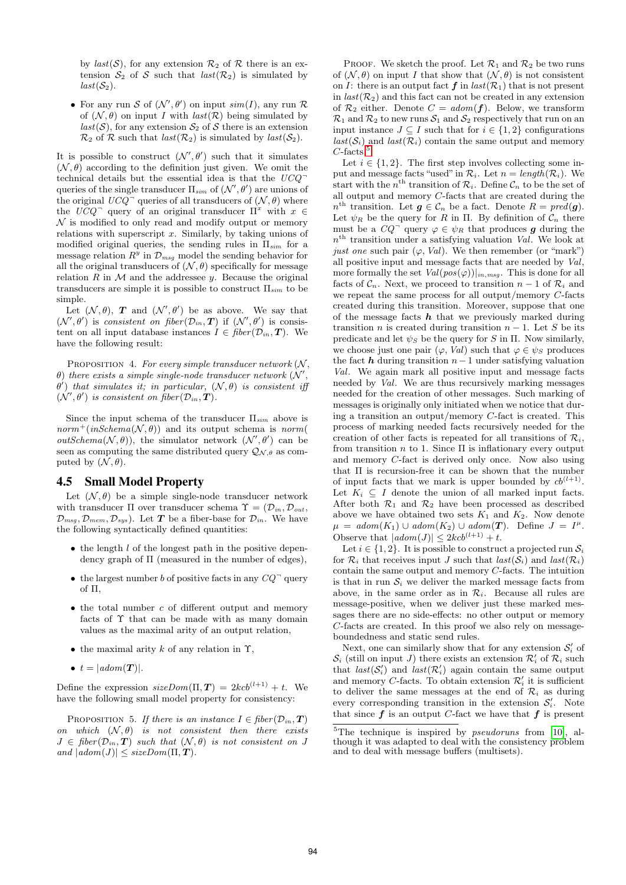by  $last(\mathcal{S})$ , for any extension  $\mathcal{R}_2$  of  $\mathcal R$  there is an extension  $S_2$  of S such that  $last(R_2)$  is simulated by  $last(\mathcal{S}_2)$ .

• For any run S of  $(\mathcal{N}', \theta')$  on input  $sim(I)$ , any run R of  $(\mathcal{N}, \theta)$  on input I with  $last(\mathcal{R})$  being simulated by  $last(S)$ , for any extension  $S_2$  of S there is an extension  $\mathcal{R}_2$  of  $\mathcal R$  such that  $last(\mathcal{R}_2)$  is simulated by  $last(\mathcal{S}_2)$ .

It is possible to construct  $(\mathcal{N}', \theta')$  such that it simulates  $(N, \theta)$  according to the definition just given. We omit the technical details but the essential idea is that the  $UCQ^$ queries of the single transducer  $\Pi_{sim}$  of  $(\mathcal{N}', \theta')$  are unions of the original  $UCQ^-$  queries of all transducers of  $(\mathcal{N}, \theta)$  where the  $UCQ$ <sup>-</sup> query of an original transducer  $\Pi^x$  with  $x \in$  $\mathcal N$  is modified to only read and modify output or memory relations with superscript x. Similarly, by taking unions of modified original queries, the sending rules in  $\Pi_{sim}$  for a message relation  $R^y$  in  $\mathcal{D}_{msg}$  model the sending behavior for all the original transducers of  $(\mathcal{N}, \theta)$  specifically for message relation  $R$  in  $M$  and the addressee  $y$ . Because the original transducers are simple it is possible to construct  $\Pi_{sim}$  to be simple.

Let  $(\mathcal{N}, \theta)$ , **T** and  $(\mathcal{N}', \theta')$  be as above. We say that  $(\mathcal{N}', \theta')$  is consistent on fiber  $(\mathcal{D}_{in}, \mathbf{T})$  if  $(\mathcal{N}', \theta')$  is consistent on all input database instances  $I \in \text{fiber}(\mathcal{D}_{in}, \mathbf{T})$ . We have the following result:

PROPOSITION 4. For every simple transducer network  $(N, \mathcal{L})$  $\theta$ ) there exists a simple single-node transducer network  $(N', \theta)$  $\theta'$ ) that simulates it; in particular,  $(\mathcal{N}, \theta)$  is consistent if  $(\mathcal{N}', \theta')$  is consistent on fiber  $(\mathcal{D}_{in}, \mathbf{T})$ .

Since the input schema of the transducer  $\Pi_{sim}$  above is  $norm^+(inSchema(\mathcal{N}, \theta))$  and its output schema is norm(  $outSchema(\mathcal{N},\theta)$ , the simulator network  $(\mathcal{N}',\theta')$  can be seen as computing the same distributed query  $\mathcal{Q}_{\mathcal{N},\theta}$  as computed by  $(\mathcal{N}, \theta)$ .

## 4.5 Small Model Property

Let  $(N, \theta)$  be a simple single-node transducer network with transducer  $\Pi$  over transducer schema  $\Upsilon = (\mathcal{D}_{in}, \mathcal{D}_{out},$  $\mathcal{D}_{msg}, \mathcal{D}_{mem}, \mathcal{D}_{sys}$ ). Let **T** be a fiber-base for  $\mathcal{D}_{in}$ . We have the following syntactically defined quantities:

- $\bullet$  the length  $l$  of the longest path in the positive dependency graph of  $\Pi$  (measured in the number of edges),
- the largest number b of positive facts in any  $CQ$ <sup>-</sup> query of Π,
- $\bullet$  the total number c of different output and memory facts of Υ that can be made with as many domain values as the maximal arity of an output relation,
- the maximal arity k of any relation in  $\Upsilon$ ,
- $t = |adom(\mathbf{T})|$ .

Define the expression  $sizeDom(\Pi, T) = 2kcb^{(l+1)} + t$ . We have the following small model property for consistency:

PROPOSITION 5. If there is an instance  $I \in \text{fiber}(\mathcal{D}_{in}, \mathbf{T})$ on which  $(\mathcal{N}, \theta)$  is not consistent then there exists  $J \in \text{fiber}(\mathcal{D}_{in}, \mathbf{T})$  such that  $(\mathcal{N}, \theta)$  is not consistent on J and  $|adom(J)| \leq sizeDom(\Pi, T)$ .

PROOF. We sketch the proof. Let  $\mathcal{R}_1$  and  $\mathcal{R}_2$  be two runs of  $(\mathcal{N}, \theta)$  on input I that show that  $(\mathcal{N}, \theta)$  is not consistent on I: there is an output fact  $f$  in  $last(\mathcal{R}_1)$  that is not present in  $last(R_2)$  and this fact can not be created in any extension of  $\mathcal{R}_2$  either. Denote  $C = \text{adom}(\boldsymbol{f})$ . Below, we transform  $\mathcal{R}_1$  and  $\mathcal{R}_2$  to new runs  $\mathcal{S}_1$  and  $\mathcal{S}_2$  respectively that run on an input instance  $J \subseteq I$  such that for  $i \in \{1,2\}$  configurations  $last(S_i)$  and  $last(R_i)$  contain the same output and memory  $C$ -facts.<sup>5</sup>

Let  $i \in \{1, 2\}$ . The first step involves collecting some input and message facts "used" in  $\mathcal{R}_i$ . Let  $n = length(\mathcal{R}_i)$ . We start with the  $n<sup>th</sup>$  transition of  $\mathcal{R}_i$ . Define  $\mathcal{C}_n$  to be the set of all output and memory C-facts that are created during the  $n^{\text{th}}$  transition. Let  $g \in \mathcal{C}_n$  be a fact. Denote  $R = pred(g)$ . Let  $\psi_R$  be the query for R in Π. By definition of  $\mathcal{C}_n$  there must be a  $CQ^{\dagger}$  query  $\varphi \in \psi_R$  that produces g during the  $n<sup>th</sup>$  transition under a satisfying valuation *Val*. We look at just one such pair  $(\varphi, Val)$ . We then remember (or "mark") all positive input and message facts that are needed by Val, more formally the set  $Val(pos(\varphi))|_{in,msg}$ . This is done for all facts of  $C_n$ . Next, we proceed to transition  $n-1$  of  $\mathcal{R}_i$  and we repeat the same process for all output/memory C-facts created during this transition. Moreover, suppose that one of the message facts  $h$  that we previously marked during transition *n* is created during transition  $n - 1$ . Let S be its predicate and let  $\psi_S$  be the query for S in Π. Now similarly, we choose just one pair  $(\varphi, Val)$  such that  $\varphi \in \psi_S$  produces the fact h during transition  $n-1$  under satisfying valuation Val. We again mark all positive input and message facts needed by Val. We are thus recursively marking messages needed for the creation of other messages. Such marking of messages is originally only initiated when we notice that during a transition an output/memory C-fact is created. This process of marking needed facts recursively needed for the creation of other facts is repeated for all transitions of  $\mathcal{R}_i$ , from transition  $n$  to 1. Since  $\Pi$  is inflationary every output and memory C-fact is derived only once. Now also using that Π is recursion-free it can be shown that the number of input facts that we mark is upper bounded by  $cb^{(l+1)}$ . Let  $K_i \subseteq I$  denote the union of all marked input facts. After both  $\mathcal{R}_1$  and  $\mathcal{R}_2$  have been processed as described above we have obtained two sets  $K_1$  and  $K_2$ . Now denote  $\mu = adom(K_1) \cup adom(K_2) \cup adom(\mathbf{T})$ . Define  $J = I^{\mu}$ . Observe that  $|adom(J)| \leq 2kcb^{(l+1)} + t$ .

Let  $i \in \{1, 2\}$ . It is possible to construct a projected run  $S_i$ for  $\mathcal{R}_i$  that receives input J such that  $last(\mathcal{S}_i)$  and  $last(\mathcal{R}_i)$ contain the same output and memory  $C$ -facts. The intuition is that in run  $S_i$  we deliver the marked message facts from above, in the same order as in  $\mathcal{R}_i$ . Because all rules are message-positive, when we deliver just these marked messages there are no side-effects: no other output or memory C-facts are created. In this proof we also rely on messageboundedness and static send rules.

Next, one can similarly show that for any extension  $S_i'$  of  $S_i$  (still on input J) there exists an extension  $\mathcal{R}'_i$  of  $\mathcal{R}_i$  such that  $last(S_i')$  and  $last(R_i')$  again contain the same output and memory C-facts. To obtain extension  $\mathcal{R}'_i$  it is sufficient to deliver the same messages at the end of  $\mathcal{R}_i$  as during every corresponding transition in the extension  $S_i'$ . Note that since  $f$  is an output C-fact we have that  $f$  is present

<sup>&</sup>lt;sup>5</sup>The technique is inspired by *pseudoruns* from [10], although it was adapted to deal with the consistency problem and to deal with message buffers (multisets).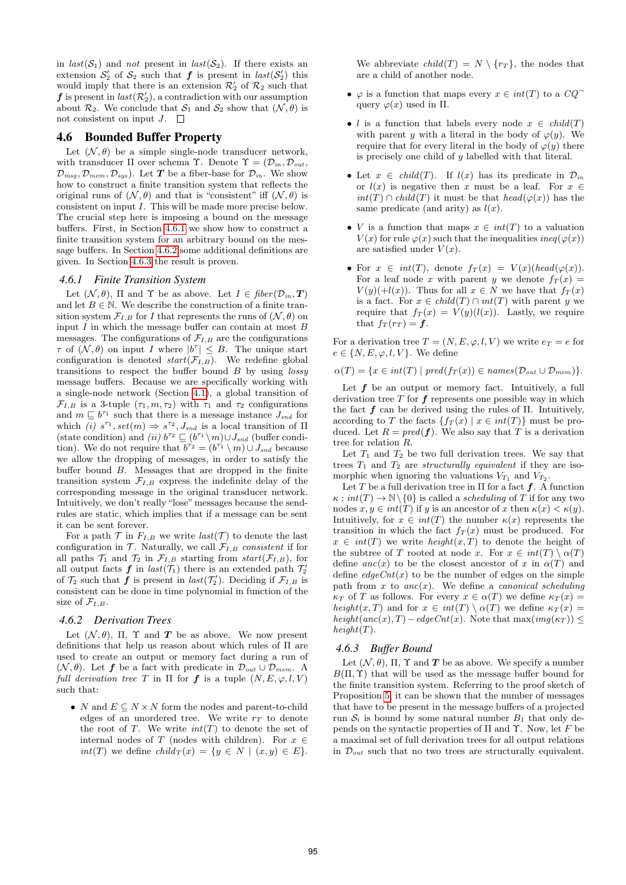in  $last(S_1)$  and not present in  $last(S_2)$ . If there exists an extension  $S'_2$  of  $S_2$  such that  $f$  is present in  $last(S'_2)$  this would imply that there is an extension  $\mathcal{R}'_2$  of  $\mathcal{R}_2$  such that  $\boldsymbol{f}$  is present in  $\mathit{last}(\mathcal{R}_2'),$  a contradiction with our assumption about  $\mathcal{R}_2$ . We conclude that  $\mathcal{S}_1$  and  $\mathcal{S}_2$  show that  $(\mathcal{N}, \theta)$  is not consistent on input  $J$ .  $\Box$ 

## 4.6 Bounded Buffer Property

Let  $(\mathcal{N}, \theta)$  be a simple single-node transducer network, with transducer  $\Pi$  over schema Υ. Denote  $\Upsilon = (\mathcal{D}_{in}, \mathcal{D}_{out}, \mathcal{D}_{out})$  $\mathcal{D}_{msq}, \mathcal{D}_{mem}, \mathcal{D}_{sus}$ . Let T be a fiber-base for  $\mathcal{D}_{in}$ . We show how to construct a finite transition system that reflects the original runs of  $(\mathcal{N}, \theta)$  and that is "consistent" iff  $(\mathcal{N}, \theta)$  is consistent on input I. This will be made more precise below. The crucial step here is imposing a bound on the message buffers. First, in Section 4.6.1 we show how to construct a finite transition system for an arbitrary bound on the message buffers. In Section 4.6.2 some additional definitions are given. In Section 4.6.3 the result is proven.

#### *4.6.1 Finite Transition System*

Let  $(\mathcal{N}, \theta)$ ,  $\Pi$  and  $\Upsilon$  be as above. Let  $I \in \text{fiber}(\mathcal{D}_{in}, \mathcal{T})$ and let  $B \in \mathbb{N}$ . We describe the construction of a finite transition system  $\mathcal{F}_{I,B}$  for I that represents the runs of  $(\mathcal{N}, \theta)$  on input  $I$  in which the message buffer can contain at most  $B$ messages. The configurations of  $\mathcal{F}_{I,B}$  are the configurations  $\tau$  of  $(\mathcal{N}, \theta)$  on input I where  $|b^{\tau}| \leq B$ . The unique start configuration is denoted  $start(\mathcal{F}_{I,B})$ . We redefine global transitions to respect the buffer bound  $B$  by using *lossy* message buffers. Because we are specifically working with a single-node network (Section 4.1), a global transition of  $\mathcal{F}_{I,B}$  is a 3-tuple  $(\tau_1, m, \tau_2)$  with  $\tau_1$  and  $\tau_2$  configurations and  $m \sqsubseteq b^{\tau_1}$  such that there is a message instance  $J_{snd}$  for which (i)  $s^{\tau_1}$ ,  $set(m) \Rightarrow s^{\tau_2}$ ,  $J_{snd}$  is a local transition of  $\Pi$ (state condition) and (ii)  $b^{\tau_2} \sqsubseteq (b^{\tau_1} \setminus m) \cup J_{\text{snd}}$  (buffer condition). We do not require that  $b^{\tau_2} = (b^{\tau_1} \setminus m) \cup J_{\text{snd}}$  because we allow the dropping of messages, in order to satisfy the buffer bound B. Messages that are dropped in the finite transition system  $\mathcal{F}_{I,B}$  express the indefinite delay of the corresponding message in the original transducer network. Intuitively, we don't really "lose"messages because the sendrules are static, which implies that if a message can be sent it can be sent forever.

For a path  $\mathcal T$  in  $F_{I,B}$  we write  $last(\mathcal T)$  to denote the last configuration in  $\mathcal T$ . Naturally, we call  $\mathcal F_{I,B}$  consistent if for all paths  $\mathcal{T}_1$  and  $\mathcal{T}_2$  in  $\mathcal{F}_{I,B}$  starting from  $start(\mathcal{F}_{I,B})$ , for all output facts  $f$  in  $last(\mathcal{T}_1)$  there is an extended path  $\mathcal{T}'_2$ of  $\mathcal{T}_2$  such that  $f$  is present in *last*( $\mathcal{T}'_2$ ). Deciding if  $\mathcal{F}_{I,B}$  is consistent can be done in time polynomial in function of the size of  $\mathcal{F}_{I,B}$ .

## *4.6.2 Derivation Trees*

Let  $(N, \theta)$ ,  $\Pi$ ,  $\Upsilon$  and  $\boldsymbol{T}$  be as above. We now present definitions that help us reason about which rules of Π are used to create an output or memory fact during a run of  $(\mathcal{N}, \theta)$ . Let **f** be a fact with predicate in  $\mathcal{D}_{out} \cup \mathcal{D}_{mem}$ . A full derivation tree T in  $\Pi$  for f is a tuple  $(N, E, \varphi, l, V)$ such that:

• N and  $E \subseteq N \times N$  form the nodes and parent-to-child edges of an unordered tree. We write  $r<sub>T</sub>$  to denote the root of T. We write  $int(T)$  to denote the set of internal nodes of T (nodes with children). For  $x \in$  $int(T)$  we define  $child_T(x) = \{y \in N \mid (x, y) \in E\}.$  We abbreviate  $child(T) = N \setminus \{r_T\}$ , the nodes that are a child of another node.

- $\varphi$  is a function that maps every  $x \in int(T)$  to a  $CQ$ <sup>-</sup> query  $\varphi(x)$  used in  $\Pi$ .
- l is a function that labels every node  $x \in child(T)$ with parent y with a literal in the body of  $\varphi(y)$ . We require that for every literal in the body of  $\varphi(y)$  there is precisely one child of y labelled with that literal.
- Let  $x \in child(T)$ . If  $l(x)$  has its predicate in  $\mathcal{D}_{in}$ or  $l(x)$  is negative then x must be a leaf. For  $x \in$  $int(T) \cap child(T)$  it must be that  $head(\varphi(x))$  has the same predicate (and arity) as  $l(x)$ .
- *V* is a function that maps  $x \in int(T)$  to a valuation  $V(x)$  for rule  $\varphi(x)$  such that the inequalities ineq( $\varphi(x)$ ) are satisfied under  $V(x)$ .
- For  $x \in int(T)$ , denote  $f_T(x) = V(x)(head(\varphi(x)).$ For a leaf node x with parent y we denote  $f_T(x) =$  $V(y)(+l(x))$ . Thus for all  $x \in N$  we have that  $f_T(x)$ is a fact. For  $x \in child(T) \cap int(T)$  with parent y we require that  $f_T(x) = V(y)(l(x))$ . Lastly, we require that  $f_T(r_T) = f$ .

For a derivation tree  $T = (N, E, \varphi, l, V)$  we write  $e_T = e$  for  $e \in \{N, E, \varphi, l, V\}$ . We define

 $\alpha(T) = \{x \in int(T) \mid pred(f_T(x)) \in names(\mathcal{D}_{out} \cup \mathcal{D}_{mem})\}.$ 

Let  $f$  be an output or memory fact. Intuitively, a full derivation tree  $T$  for  $f$  represents one possible way in which the fact  $f$  can be derived using the rules of  $\Pi$ . Intuitively, according to T the facts  $\{f_T(x) | x \in int(T)\}\$  must be produced. Let  $R = pred(f)$ . We also say that T is a derivation tree for relation R.

Let  $T_1$  and  $T_2$  be two full derivation trees. We say that trees  $T_1$  and  $T_2$  are *structurally equivalent* if they are isomorphic when ignoring the valuations  $V_{T_1}$  and  $V_{T_2}$ .

Let T be a full derivation tree in  $\Pi$  for a fact  $f$ . A function  $\kappa : int(T) \to \mathbb{N} \backslash \{0\}$  is called a scheduling of T if for any two nodes  $x, y \in int(T)$  if y is an ancestor of x then  $\kappa(x) < \kappa(y)$ . Intuitively, for  $x \in int(T)$  the number  $\kappa(x)$  represents the transition in which the fact  $f_T(x)$  must be produced. For  $x \in int(T)$  we write  $height(x, T)$  to denote the height of the subtree of T rooted at node x. For  $x \in int(T) \setminus \alpha(T)$ define  $anc(x)$  to be the closest ancestor of x in  $\alpha(T)$  and define  $edgeCnt(x)$  to be the number of edges on the simple path from x to  $anc(x)$ . We define a *canonical scheduling*  $\kappa_T$  of T as follows. For every  $x \in \alpha(T)$  we define  $\kappa_T(x) =$ height(x, T) and for  $x \in int(T) \setminus \alpha(T)$  we define  $\kappa_T(x)$  = height(anc(x), T) – edgeCnt(x). Note that  $\max(\text{img}(\kappa_T)) \le$  $height(T).$ 

#### *4.6.3 Buffer Bound*

Let  $(N, \theta)$ ,  $\Pi$ ,  $\Upsilon$  and  $\boldsymbol{T}$  be as above. We specify a number  $B(\Pi, \Upsilon)$  that will be used as the message buffer bound for the finite transition system. Referring to the proof sketch of Proposition 5, it can be shown that the number of messages that have to be present in the message buffers of a projected run  $S_i$  is bound by some natural number  $B_1$  that only depends on the syntactic properties of  $\Pi$  and  $\Upsilon$ . Now, let F be a maximal set of full derivation trees for all output relations in  $\mathcal{D}_{out}$  such that no two trees are structurally equivalent.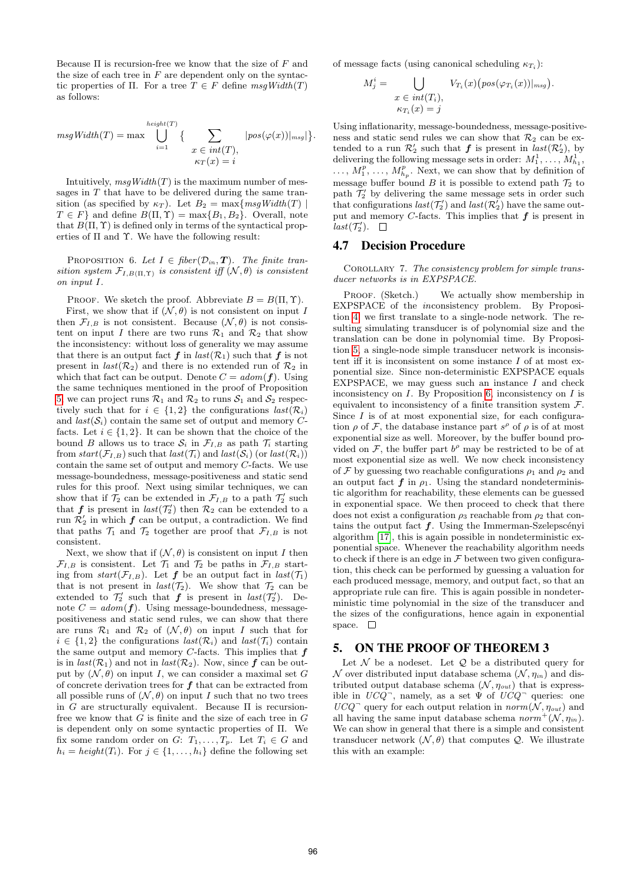Because  $\Pi$  is recursion-free we know that the size of  $F$  and the size of each tree in  $F$  are dependent only on the syntactic properties of Π. For a tree  $T \in F$  define  $msgWidth(T)$ as follows:

$$
msgWidth(T) = \max \bigcup_{i=1}^{height(T)} \left\{ \sum_{\substack{x \in int(T), \\ \kappa_T(x) = i}} |pos(\varphi(x))|_{msg}|\right\}.
$$

Intuitively,  $msgWidth(T)$  is the maximum number of messages in  $T$  that have to be delivered during the same transition (as specified by  $\kappa_T$ ). Let  $B_2 = \max\{msgWidth(T) \mid$  $T \in F$  and define  $B(\Pi, \Upsilon) = \max\{B_1, B_2\}$ . Overall, note that  $B(\Pi, \Upsilon)$  is defined only in terms of the syntactical properties of  $\Pi$  and  $\Upsilon$ . We have the following result:

PROPOSITION 6. Let  $I \in \text{fiber}(\mathcal{D}_{in}, \mathbf{T})$ . The finite transition system  $\mathcal{F}_{I, B(\Pi, \Upsilon)}$  is consistent iff  $(\mathcal{N}, \theta)$  is consistent on input I.

PROOF. We sketch the proof. Abbreviate  $B = B(\Pi, \Upsilon)$ . First, we show that if  $(\mathcal{N}, \theta)$  is not consistent on input I then  $\mathcal{F}_{I,B}$  is not consistent. Because  $(\mathcal{N}, \theta)$  is not consistent on input I there are two runs  $\mathcal{R}_1$  and  $\mathcal{R}_2$  that show the inconsistency: without loss of generality we may assume that there is an output fact  $f$  in  $last(\mathcal{R}_1)$  such that  $f$  is not present in  $last(R_2)$  and there is no extended run of  $R_2$  in which that fact can be output. Denote  $C = adom(\boldsymbol{f})$ . Using the same techniques mentioned in the proof of Proposition 5, we can project runs  $\mathcal{R}_1$  and  $\mathcal{R}_2$  to runs  $\mathcal{S}_1$  and  $\mathcal{S}_2$  respectively such that for  $i \in \{1,2\}$  the configurations  $last(\mathcal{R}_i)$ and  $last(S_i)$  contain the same set of output and memory Cfacts. Let  $i \in \{1, 2\}$ . It can be shown that the choice of the bound B allows us to trace  $S_i$  in  $\mathcal{F}_{I,B}$  as path  $\mathcal{T}_i$  starting from start( $\mathcal{F}_{I,B}$ ) such that  $last(\mathcal{T}_i)$  and  $last(\mathcal{S}_i)$  (or  $last(\mathcal{R}_i)$ ) contain the same set of output and memory  $C$ -facts. We use message-boundedness, message-positiveness and static send rules for this proof. Next using similar techniques, we can show that if  $\mathcal{T}_2$  can be extended in  $\mathcal{F}_{I,B}$  to a path  $\mathcal{T}'_2$  such that **f** is present in  $last(\mathcal{T}_2')$  then  $\mathcal{R}_2$  can be extended to a run  $\mathcal{R}_2'$  in which  $f$  can be output, a contradiction. We find that paths  $\mathcal{T}_1$  and  $\mathcal{T}_2$  together are proof that  $\mathcal{F}_{I,B}$  is not consistent.

Next, we show that if  $(\mathcal{N}, \theta)$  is consistent on input I then  $\mathcal{F}_{I,B}$  is consistent. Let  $\mathcal{T}_1$  and  $\mathcal{T}_2$  be paths in  $\mathcal{F}_{I,B}$  starting from  $start(\mathcal{F}_{I,B})$ . Let  $f$  be an output fact in  $last(\mathcal{T}_1)$ that is not present in  $last(\mathcal{T}_2)$ . We show that  $\mathcal{T}_2$  can be extended to  $\mathcal{T}'_2$  such that **f** is present in  $last(\mathcal{T}'_2)$ . Denote  $C = adom(\boldsymbol{f})$ . Using message-boundedness, messagepositiveness and static send rules, we can show that there are runs  $\mathcal{R}_1$  and  $\mathcal{R}_2$  of  $(\mathcal{N}, \theta)$  on input I such that for  $i \in \{1,2\}$  the configurations  $last(\mathcal{R}_i)$  and  $last(\mathcal{T}_i)$  contain the same output and memory  $C$ -facts. This implies that  $f$ is in  $last(\mathcal{R}_1)$  and not in  $last(\mathcal{R}_2)$ . Now, since  $f$  can be output by  $(\mathcal{N}, \theta)$  on input I, we can consider a maximal set G of concrete derivation trees for  $f$  that can be extracted from all possible runs of  $(\mathcal{N}, \theta)$  on input I such that no two trees in G are structurally equivalent. Because  $\Pi$  is recursionfree we know that  $G$  is finite and the size of each tree in  $G$ is dependent only on some syntactic properties of Π. We fix some random order on  $G: T_1, \ldots, T_p$ . Let  $T_i \in G$  and  $h_i = height(T_i)$ . For  $j \in \{1, ..., h_i\}$  define the following set of message facts (using canonical scheduling  $\kappa_{T_i}$ ):

$$
M_j^i = \bigcup_{\substack{x \in int(T_i), \\ \kappa_{T_i}(x) = j}} V_{T_i}(x) \big( pos(\varphi_{T_i}(x))|_{msg} \big).
$$

Using inflationarity, message-boundedness, message-positiveness and static send rules we can show that  $\mathcal{R}_2$  can be extended to a run  $\mathcal{R}'_2$  such that  $f$  is present in  $last(\mathcal{R}'_2)$ , by delivering the following message sets in order:  $M_1^1, \ldots, M_{h_1}^1$ ,  $\ldots, M_1^p, \ldots, M_{h_p}^p$ . Next, we can show that by definition of message buffer bound B it is possible to extend path  $\mathcal{T}_2$  to path  $\mathcal{T}'_2$  by delivering the same message sets in order such that configurations  $last(\mathcal{T}'_2)$  and  $last(\mathcal{R}'_2)$  have the same output and memory  $C$ -facts. This implies that  $f$  is present in  $last(\mathcal{T}_2').$ 

## 4.7 Decision Procedure

Corollary 7. The consistency problem for simple transducer networks is in EXPSPACE.

PROOF. (Sketch.) We actually show membership in EXPSPACE of the inconsistency problem. By Proposition 4, we first translate to a single-node network. The resulting simulating transducer is of polynomial size and the translation can be done in polynomial time. By Proposition 5, a single-node simple transducer network is inconsistent iff it is inconsistent on some instance  $I$  of at most exponential size. Since non-deterministic EXPSPACE equals EXPSPACE, we may guess such an instance  $I$  and check inconsistency on  $I$ . By Proposition 6, inconsistency on  $I$  is equivalent to inconsistency of a finite transition system  $\mathcal{F}$ . Since  $I$  is of at most exponential size, for each configuration  $\rho$  of F, the database instance part  $s^{\rho}$  of  $\rho$  is of at most exponential size as well. Moreover, by the buffer bound provided on  $\mathcal{F}$ , the buffer part  $b^{\rho}$  may be restricted to be of at most exponential size as well. We now check inconsistency of F by guessing two reachable configurations  $\rho_1$  and  $\rho_2$  and an output fact  $f$  in  $\rho_1$ . Using the standard nondeterministic algorithm for reachability, these elements can be guessed in exponential space. We then proceed to check that there does not exist a configuration  $\rho_3$  reachable from  $\rho_2$  that contains the output fact  $f$ . Using the Immerman-Szelepscényi algorithm [17], this is again possible in nondeterministic exponential space. Whenever the reachability algorithm needs to check if there is an edge in  $\mathcal F$  between two given configuration, this check can be performed by guessing a valuation for each produced message, memory, and output fact, so that an appropriate rule can fire. This is again possible in nondeterministic time polynomial in the size of the transducer and the sizes of the configurations, hence again in exponential space.  $\square$ 

#### 5. ON THE PROOF OF THEOREM 3

Let  $\mathcal N$  be a nodeset. Let  $\mathcal Q$  be a distributed query for  $\mathcal N$  over distributed input database schema  $(\mathcal N, \eta_{in})$  and distributed output database schema  $(\mathcal{N}, \eta_{out})$  that is expressible in  $UCQ^-$ , namely, as a set  $\Psi$  of  $UCQ^-$  queries: one  $UCQ^-$  query for each output relation in  $norm(N, \eta_{out})$  and all having the same input database schema  $norm^+(\mathcal{N}, \eta_{in})$ . We can show in general that there is a simple and consistent transducer network  $(\mathcal{N}, \theta)$  that computes  $\mathcal{Q}$ . We illustrate this with an example: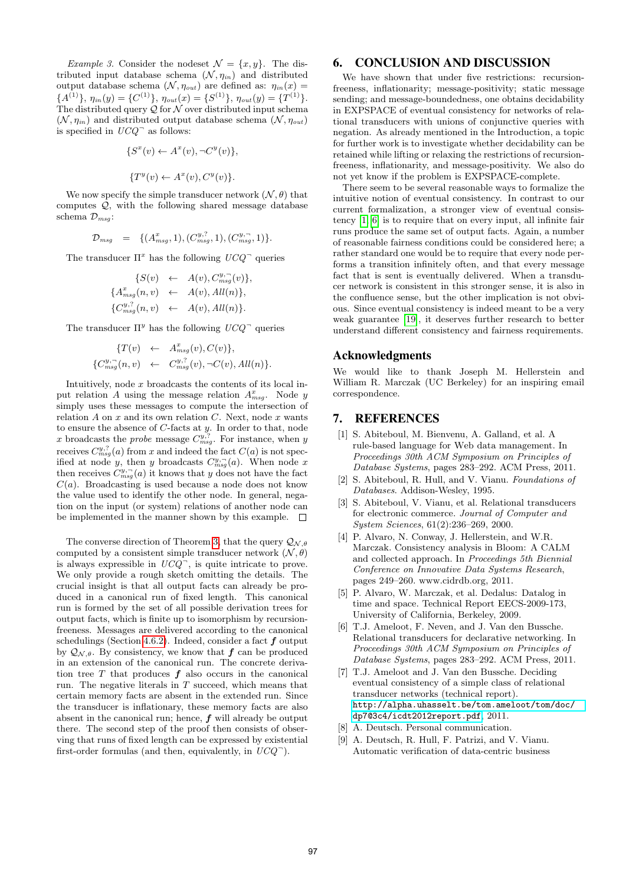Example 3. Consider the nodeset  $\mathcal{N} = \{x, y\}$ . The distributed input database schema  $(\mathcal{N}, \eta_{in})$  and distributed output database schema  $(\mathcal{N}, \eta_{out})$  are defined as:  $\eta_{in}(x)$  =  ${A}^{(1)}$ ,  $\eta_{in}(y) = {C}^{(1)}$ ,  $\eta_{out}(x) = {S}^{(1)}$ ,  $\eta_{out}(y) = {T}^{(1)}$ . The distributed query  $Q$  for  $N$  over distributed input schema  $(\mathcal{N}, \eta_{in})$  and distributed output database schema  $(\mathcal{N}, \eta_{out})$ is specified in  $UCQ$ <sup> $\bar{ }$ </sup> as follows:

$$
\{S^x(v) \leftarrow A^x(v), \neg C^y(v)\},\
$$

$$
\{T^y(v) \leftarrow A^x(v), C^y(v)\}.
$$

We now specify the simple transducer network  $(\mathcal{N}, \theta)$  that computes Q, with the following shared message database schema  $\mathcal{D}_{msq}$ :

$$
\mathcal{D}_{msg} = \{(A_{msg}^x, 1), (C_{msg}^{y,?}, 1), (C_{msg}^{y,?}, 1)\}.
$$

The transducer  $\Pi^x$  has the following  $UCQ^-$  queries

$$
\{S(v) \leftarrow A(v), C_{msg}^{y,\neg}(v)\},
$$
  

$$
\{A_{msg}^x(n, v) \leftarrow A(v), All(n)\},
$$
  

$$
\{C_{msg}^{y,?}(n, v) \leftarrow A(v), All(n)\}.
$$

The transducer  $\Pi^y$  has the following  $UCQ^-$  queries

$$
\{T(v) \leftarrow A_{msg}^{x}(v), C(v)\},
$$
  

$$
\{C_{msg}^{y,\neg}(n,v) \leftarrow C_{msg}^{y,\neg}(v), \neg C(v), All(n)\}.
$$

Intuitively, node  $x$  broadcasts the contents of its local input relation A using the message relation  $A_{msg}^x$ . Node y simply uses these messages to compute the intersection of relation  $A$  on  $x$  and its own relation  $C$ . Next, node  $x$  wants to ensure the absence of  $C$ -facts at  $y$ . In order to that, node x broadcasts the *probe* message  $C_{msg}^{y,?}$ . For instance, when y receives  $C_{msg}^{y,?}(a)$  from x and indeed the fact  $C(a)$  is not specified at node y, then y broadcasts  $C_{msg}^{y,\neg}(a)$ . When node x then receives  $C_{msg}^{y,\neg}(a)$  it knows that y does not have the fact  $C(a)$ . Broadcasting is used because a node does not know the value used to identify the other node. In general, negation on the input (or system) relations of another node can be implemented in the manner shown by this example.  $\Box$ 

The converse direction of Theorem 3, that the query  $\mathcal{Q}_{\mathcal{N},\theta}$ computed by a consistent simple transducer network  $(\mathcal{N}, \theta)$ is always expressible in  $UCQ^-$ , is quite intricate to prove. We only provide a rough sketch omitting the details. The crucial insight is that all output facts can already be produced in a canonical run of fixed length. This canonical run is formed by the set of all possible derivation trees for output facts, which is finite up to isomorphism by recursionfreeness. Messages are delivered according to the canonical schedulings (Section 4.6.2). Indeed, consider a fact  $f$  output by  $\mathcal{Q}_{N,\theta}$ . By consistency, we know that f can be produced in an extension of the canonical run. The concrete derivation tree  $T$  that produces  $f$  also occurs in the canonical run. The negative literals in  $T$  succeed, which means that certain memory facts are absent in the extended run. Since the transducer is inflationary, these memory facts are also absent in the canonical run; hence,  $f$  will already be output there. The second step of the proof then consists of observing that runs of fixed length can be expressed by existential first-order formulas (and then, equivalently, in  $UCQ^-$ ).

## 6. CONCLUSION AND DISCUSSION

We have shown that under five restrictions: recursionfreeness, inflationarity; message-positivity; static message sending; and message-boundedness, one obtains decidability in EXPSPACE of eventual consistency for networks of relational transducers with unions of conjunctive queries with negation. As already mentioned in the Introduction, a topic for further work is to investigate whether decidability can be retained while lifting or relaxing the restrictions of recursionfreeness, inflationarity, and message-positivity. We also do not yet know if the problem is EXPSPACE-complete.

There seem to be several reasonable ways to formalize the intuitive notion of eventual consistency. In contrast to our current formalization, a stronger view of eventual consistency [1, 6] is to require that on every input, all infinite fair runs produce the same set of output facts. Again, a number of reasonable fairness conditions could be considered here; a rather standard one would be to require that every node performs a transition infinitely often, and that every message fact that is sent is eventually delivered. When a transducer network is consistent in this stronger sense, it is also in the confluence sense, but the other implication is not obvious. Since eventual consistency is indeed meant to be a very weak guarantee [19], it deserves further research to better understand different consistency and fairness requirements.

#### Acknowledgments

We would like to thank Joseph M. Hellerstein and William R. Marczak (UC Berkeley) for an inspiring email correspondence.

## 7. REFERENCES

- [1] S. Abiteboul, M. Bienvenu, A. Galland, et al. A rule-based language for Web data management. In Proceedings 30th ACM Symposium on Principles of Database Systems, pages 283–292. ACM Press, 2011.
- [2] S. Abiteboul, R. Hull, and V. Vianu. Foundations of Databases. Addison-Wesley, 1995.
- [3] S. Abiteboul, V. Vianu, et al. Relational transducers for electronic commerce. Journal of Computer and System Sciences, 61(2):236–269, 2000.
- [4] P. Alvaro, N. Conway, J. Hellerstein, and W.R. Marczak. Consistency analysis in Bloom: A CALM and collected approach. In Proceedings 5th Biennial Conference on Innovative Data Systems Research, pages 249–260. www.cidrdb.org, 2011.
- [5] P. Alvaro, W. Marczak, et al. Dedalus: Datalog in time and space. Technical Report EECS-2009-173, University of California, Berkeley, 2009.
- [6] T.J. Ameloot, F. Neven, and J. Van den Bussche. Relational transducers for declarative networking. In Proceedings 30th ACM Symposium on Principles of Database Systems, pages 283–292. ACM Press, 2011.
- [7] T.J. Ameloot and J. Van den Bussche. Deciding eventual consistency of a simple class of relational transducer networks (technical report). [http://alpha.uhasselt.be/tom.ameloot/tom/doc/](http://alpha.uhasselt.be/tom.ameloot/tom/doc/dp7@3c4/icdt2012report.pdf) [dp7@3c4/icdt2012report.pdf](http://alpha.uhasselt.be/tom.ameloot/tom/doc/dp7@3c4/icdt2012report.pdf), 2011.
- [8] A. Deutsch. Personal communication.
- [9] A. Deutsch, R. Hull, F. Patrizi, and V. Vianu. Automatic verification of data-centric business